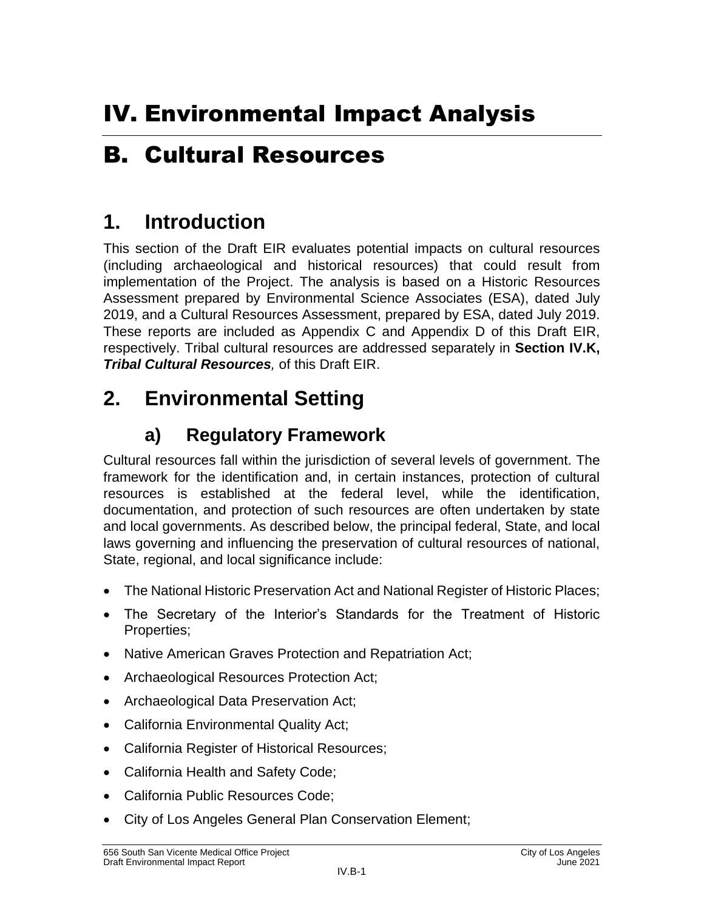# B. Cultural Resources

## **1. Introduction**

This section of the Draft EIR evaluates potential impacts on cultural resources (including archaeological and historical resources) that could result from implementation of the Project. The analysis is based on a Historic Resources Assessment prepared by Environmental Science Associates (ESA), dated July 2019, and a Cultural Resources Assessment, prepared by ESA, dated July 2019. These reports are included as Appendix C and Appendix D of this Draft EIR, respectively. Tribal cultural resources are addressed separately in **Section IV.K,**  *Tribal Cultural Resources,* of this Draft EIR.

# **2. Environmental Setting**

## **a) Regulatory Framework**

Cultural resources fall within the jurisdiction of several levels of government. The framework for the identification and, in certain instances, protection of cultural resources is established at the federal level, while the identification, documentation, and protection of such resources are often undertaken by state and local governments. As described below, the principal federal, State, and local laws governing and influencing the preservation of cultural resources of national, State, regional, and local significance include:

- The National Historic Preservation Act and National Register of Historic Places;
- The Secretary of the Interior's Standards for the Treatment of Historic Properties;
- Native American Graves Protection and Repatriation Act;
- Archaeological Resources Protection Act;
- Archaeological Data Preservation Act;
- California Environmental Quality Act;
- California Register of Historical Resources;
- California Health and Safety Code;
- California Public Resources Code;
- City of Los Angeles General Plan Conservation Element;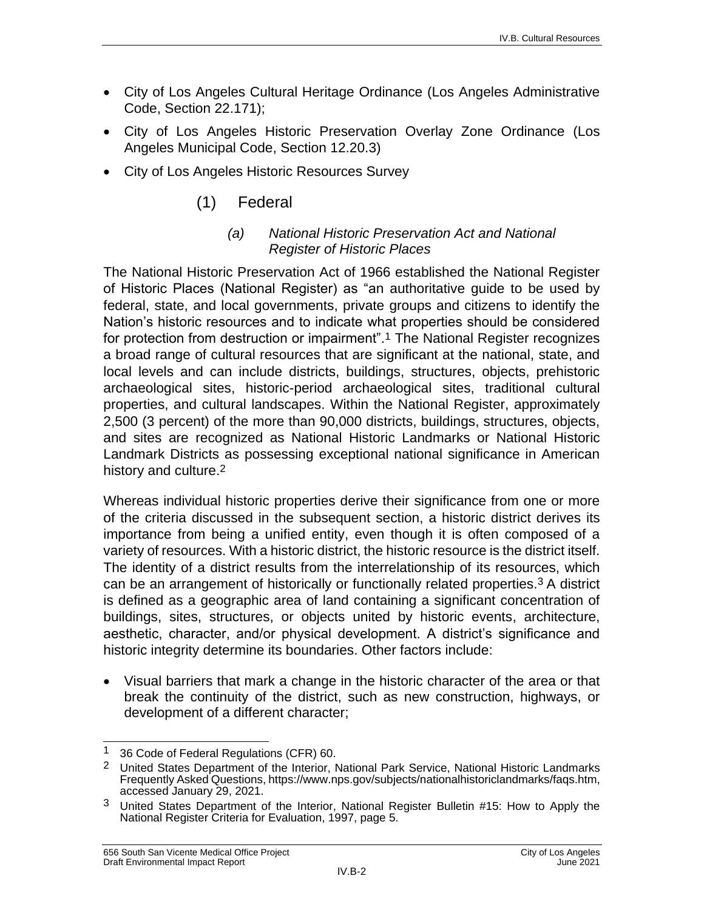- City of Los Angeles Cultural Heritage Ordinance (Los Angeles Administrative Code, Section 22.171);
- City of Los Angeles Historic Preservation Overlay Zone Ordinance (Los Angeles Municipal Code, Section 12.20.3)
- City of Los Angeles Historic Resources Survey

## (1) Federal

#### *(a) National Historic Preservation Act and National Register of Historic Places*

The National Historic Preservation Act of 1966 established the National Register of Historic Places (National Register) as "an authoritative guide to be used by federal, state, and local governments, private groups and citizens to identify the Nation's historic resources and to indicate what properties should be considered for protection from destruction or impairment".1 The National Register recognizes a broad range of cultural resources that are significant at the national, state, and local levels and can include districts, buildings, structures, objects, prehistoric archaeological sites, historic-period archaeological sites, traditional cultural properties, and cultural landscapes. Within the National Register, approximately 2,500 (3 percent) of the more than 90,000 districts, buildings, structures, objects, and sites are recognized as National Historic Landmarks or National Historic Landmark Districts as possessing exceptional national significance in American history and culture.2

Whereas individual historic properties derive their significance from one or more of the criteria discussed in the subsequent section, a historic district derives its importance from being a unified entity, even though it is often composed of a variety of resources. With a historic district, the historic resource is the district itself. The identity of a district results from the interrelationship of its resources, which can be an arrangement of historically or functionally related properties.3 A district is defined as a geographic area of land containing a significant concentration of buildings, sites, structures, or objects united by historic events, architecture, aesthetic, character, and/or physical development. A district's significance and historic integrity determine its boundaries. Other factors include:

 Visual barriers that mark a change in the historic character of the area or that break the continuity of the district, such as new construction, highways, or development of a different character;

 $\overline{\phantom{a}}$ <sup>1</sup> 36 Code of Federal Regulations (CFR) 60.

<sup>&</sup>lt;sup>2</sup> United States Department of the Interior, National Park Service, National Historic Landmarks Frequently Asked Questions, [https://www.nps.gov/subjects/nationalhistoriclandmarks/faqs.htm,](https://www.nps.gov/subjects/nationalhistoriclandmarks/faqs.htm) accessed January 29, 2021.

<sup>3</sup> United States Department of the Interior, National Register Bulletin #15: How to Apply the National Register Criteria for Evaluation, 1997, page 5.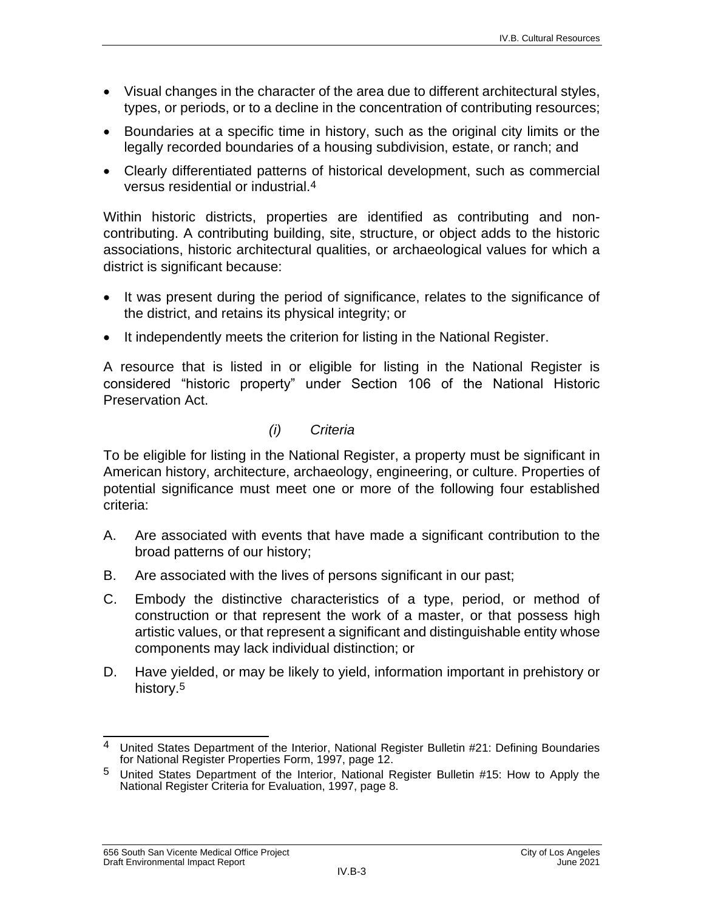- Visual changes in the character of the area due to different architectural styles, types, or periods, or to a decline in the concentration of contributing resources;
- Boundaries at a specific time in history, such as the original city limits or the legally recorded boundaries of a housing subdivision, estate, or ranch; and
- Clearly differentiated patterns of historical development, such as commercial versus residential or industrial.4

Within historic districts, properties are identified as contributing and noncontributing. A contributing building, site, structure, or object adds to the historic associations, historic architectural qualities, or archaeological values for which a district is significant because:

- It was present during the period of significance, relates to the significance of the district, and retains its physical integrity; or
- It independently meets the criterion for listing in the National Register.

A resource that is listed in or eligible for listing in the National Register is considered "historic property" under Section 106 of the National Historic Preservation Act.

#### *(i) Criteria*

To be eligible for listing in the National Register, a property must be significant in American history, architecture, archaeology, engineering, or culture. Properties of potential significance must meet one or more of the following four established criteria:

- A. Are associated with events that have made a significant contribution to the broad patterns of our history;
- B. Are associated with the lives of persons significant in our past;
- C. Embody the distinctive characteristics of a type, period, or method of construction or that represent the work of a master, or that possess high artistic values, or that represent a significant and distinguishable entity whose components may lack individual distinction; or
- D. Have yielded, or may be likely to yield, information important in prehistory or history.5

 $\overline{\phantom{a}}$  $4$  United States Department of the Interior, National Register Bulletin #21: Defining Boundaries for National Register Properties Form, 1997, page 12.

<sup>5</sup> United States Department of the Interior, National Register Bulletin #15: How to Apply the National Register Criteria for Evaluation, 1997, page 8.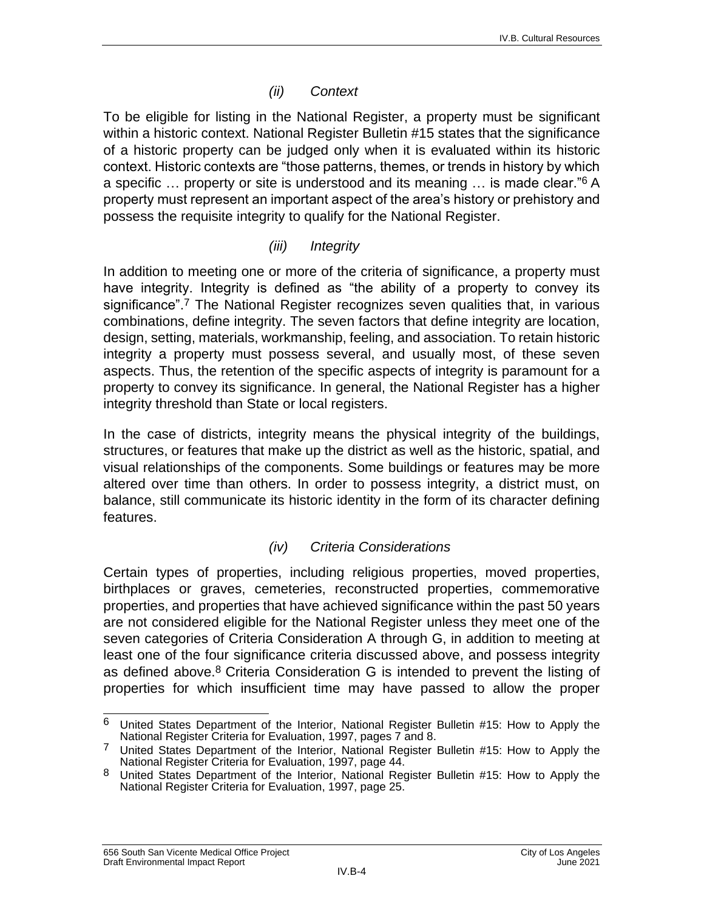#### *(ii) Context*

To be eligible for listing in the National Register, a property must be significant within a historic context. National Register Bulletin #15 states that the significance of a historic property can be judged only when it is evaluated within its historic context. Historic contexts are "those patterns, themes, or trends in history by which a specific … property or site is understood and its meaning … is made clear."6 A property must represent an important aspect of the area's history or prehistory and possess the requisite integrity to qualify for the National Register.

#### *(iii) Integrity*

In addition to meeting one or more of the criteria of significance, a property must have integrity. Integrity is defined as "the ability of a property to convey its significance".7 The National Register recognizes seven qualities that, in various combinations, define integrity. The seven factors that define integrity are location, design, setting, materials, workmanship, feeling, and association. To retain historic integrity a property must possess several, and usually most, of these seven aspects. Thus, the retention of the specific aspects of integrity is paramount for a property to convey its significance. In general, the National Register has a higher integrity threshold than State or local registers.

In the case of districts, integrity means the physical integrity of the buildings, structures, or features that make up the district as well as the historic, spatial, and visual relationships of the components. Some buildings or features may be more altered over time than others. In order to possess integrity, a district must, on balance, still communicate its historic identity in the form of its character defining features.

#### *(iv) Criteria Considerations*

Certain types of properties, including religious properties, moved properties, birthplaces or graves, cemeteries, reconstructed properties, commemorative properties, and properties that have achieved significance within the past 50 years are not considered eligible for the National Register unless they meet one of the seven categories of Criteria Consideration A through G, in addition to meeting at least one of the four significance criteria discussed above, and possess integrity as defined above.<sup>8</sup> Criteria Consideration G is intended to prevent the listing of properties for which insufficient time may have passed to allow the proper

<sup>6</sup> United States Department of the Interior, National Register Bulletin #15: How to Apply the National Register Criteria for Evaluation, 1997, pages 7 and 8.

<sup>7</sup> United States Department of the Interior, National Register Bulletin #15: How to Apply the National Register Criteria for Evaluation, 1997, page 44.

<sup>8</sup> United States Department of the Interior, National Register Bulletin #15: How to Apply the National Register Criteria for Evaluation, 1997, page 25.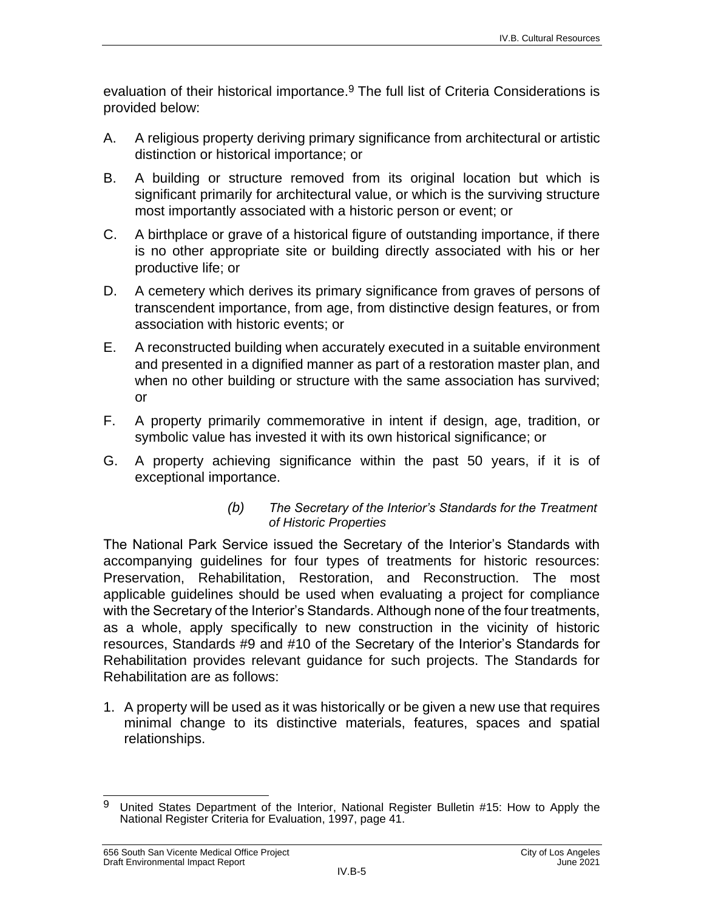evaluation of their historical importance.<sup>9</sup> The full list of Criteria Considerations is provided below:

- A. A religious property deriving primary significance from architectural or artistic distinction or historical importance; or
- B. A building or structure removed from its original location but which is significant primarily for architectural value, or which is the surviving structure most importantly associated with a historic person or event; or
- C. A birthplace or grave of a historical figure of outstanding importance, if there is no other appropriate site or building directly associated with his or her productive life; or
- D. A cemetery which derives its primary significance from graves of persons of transcendent importance, from age, from distinctive design features, or from association with historic events; or
- E. A reconstructed building when accurately executed in a suitable environment and presented in a dignified manner as part of a restoration master plan, and when no other building or structure with the same association has survived; or
- F. A property primarily commemorative in intent if design, age, tradition, or symbolic value has invested it with its own historical significance; or
- G. A property achieving significance within the past 50 years, if it is of exceptional importance.

#### *(b) The Secretary of the Interior's Standards for the Treatment of Historic Properties*

The National Park Service issued the Secretary of the Interior's Standards with accompanying guidelines for four types of treatments for historic resources: Preservation, Rehabilitation, Restoration, and Reconstruction. The most applicable guidelines should be used when evaluating a project for compliance with the Secretary of the Interior's Standards. Although none of the four treatments, as a whole, apply specifically to new construction in the vicinity of historic resources, Standards #9 and #10 of the Secretary of the Interior's Standards for Rehabilitation provides relevant guidance for such projects. The Standards for Rehabilitation are as follows:

1. A property will be used as it was historically or be given a new use that requires minimal change to its distinctive materials, features, spaces and spatial relationships.

<sup>9</sup> United States Department of the Interior, National Register Bulletin #15: How to Apply the National Register Criteria for Evaluation, 1997, page 41.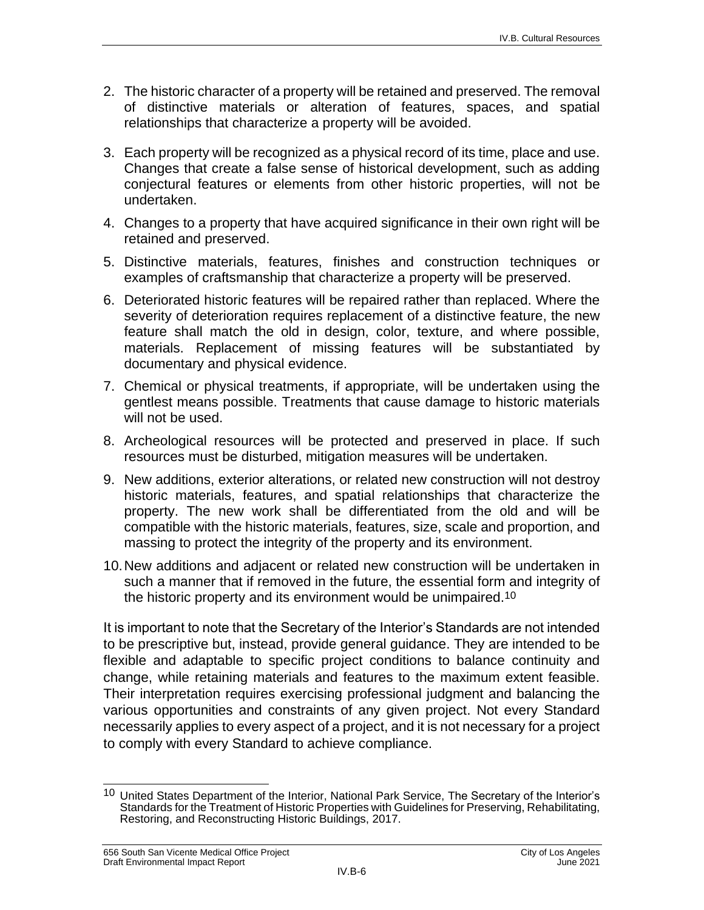- 2. The historic character of a property will be retained and preserved. The removal of distinctive materials or alteration of features, spaces, and spatial relationships that characterize a property will be avoided.
- 3. Each property will be recognized as a physical record of its time, place and use. Changes that create a false sense of historical development, such as adding conjectural features or elements from other historic properties, will not be undertaken.
- 4. Changes to a property that have acquired significance in their own right will be retained and preserved.
- 5. Distinctive materials, features, finishes and construction techniques or examples of craftsmanship that characterize a property will be preserved.
- 6. Deteriorated historic features will be repaired rather than replaced. Where the severity of deterioration requires replacement of a distinctive feature, the new feature shall match the old in design, color, texture, and where possible, materials. Replacement of missing features will be substantiated by documentary and physical evidence.
- 7. Chemical or physical treatments, if appropriate, will be undertaken using the gentlest means possible. Treatments that cause damage to historic materials will not be used.
- 8. Archeological resources will be protected and preserved in place. If such resources must be disturbed, mitigation measures will be undertaken.
- 9. New additions, exterior alterations, or related new construction will not destroy historic materials, features, and spatial relationships that characterize the property. The new work shall be differentiated from the old and will be compatible with the historic materials, features, size, scale and proportion, and massing to protect the integrity of the property and its environment.
- 10.New additions and adjacent or related new construction will be undertaken in such a manner that if removed in the future, the essential form and integrity of the historic property and its environment would be unimpaired.10

It is important to note that the Secretary of the Interior's Standards are not intended to be prescriptive but, instead, provide general guidance. They are intended to be flexible and adaptable to specific project conditions to balance continuity and change, while retaining materials and features to the maximum extent feasible. Their interpretation requires exercising professional judgment and balancing the various opportunities and constraints of any given project. Not every Standard necessarily applies to every aspect of a project, and it is not necessary for a project to comply with every Standard to achieve compliance.

 $\overline{\phantom{a}}$ <sup>10</sup> United States Department of the Interior, National Park Service, The Secretary of the Interior's Standards for the Treatment of Historic Properties with Guidelines for Preserving, Rehabilitating, Restoring, and Reconstructing Historic Buildings, 2017.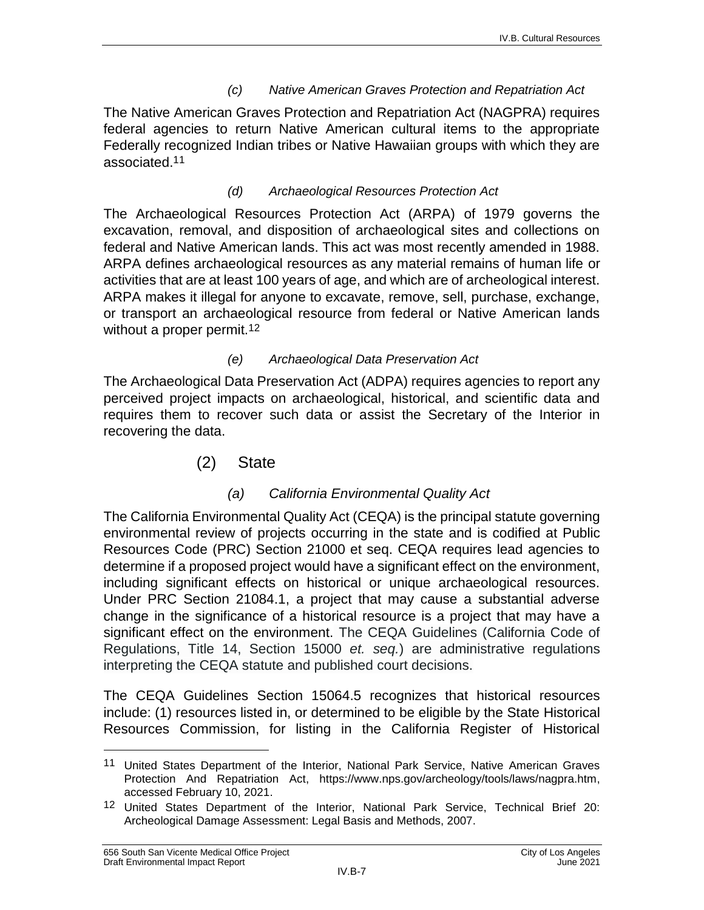#### *(c) Native American Graves Protection and Repatriation Act*

The Native American Graves Protection and Repatriation Act (NAGPRA) requires federal agencies to return Native American cultural items to the appropriate Federally recognized Indian tribes or Native Hawaiian groups with which they are associated.11

#### *(d) Archaeological Resources Protection Act*

The Archaeological Resources Protection Act (ARPA) of 1979 governs the excavation, removal, and disposition of archaeological sites and collections on federal and Native American lands. This act was most recently amended in 1988. ARPA defines archaeological resources as any material remains of human life or activities that are at least 100 years of age, and which are of archeological interest. ARPA makes it illegal for anyone to excavate, remove, sell, purchase, exchange, or transport an archaeological resource from federal or Native American lands without a proper permit.<sup>12</sup>

#### *(e) Archaeological Data Preservation Act*

The Archaeological Data Preservation Act (ADPA) requires agencies to report any perceived project impacts on archaeological, historical, and scientific data and requires them to recover such data or assist the Secretary of the Interior in recovering the data.

(2) State

#### *(a) California Environmental Quality Act*

The California Environmental Quality Act (CEQA) is the principal statute governing environmental review of projects occurring in the state and is codified at Public Resources Code (PRC) Section 21000 et seq. CEQA requires lead agencies to determine if a proposed project would have a significant effect on the environment, including significant effects on historical or unique archaeological resources. Under PRC Section 21084.1, a project that may cause a substantial adverse change in the significance of a historical resource is a project that may have a significant effect on the environment. The CEQA Guidelines (California Code of Regulations, Title 14, Section 15000 *et. seq.*) are administrative regulations interpreting the CEQA statute and published court decisions.

The CEQA Guidelines Section 15064.5 recognizes that historical resources include: (1) resources listed in, or determined to be eligible by the State Historical Resources Commission, for listing in the California Register of Historical

 $\overline{a}$ 

<sup>11</sup> United States Department of the Interior, National Park Service, Native American Graves Protection And Repatriation Act, [https://www.nps.gov/archeology/tools/laws/nagpra.htm,](https://www.nps.gov/archeology/tools/laws/nagpra.htm) accessed February 10, 2021.

<sup>12</sup> United States Department of the Interior, National Park Service, Technical Brief 20: Archeological Damage Assessment: Legal Basis and Methods, 2007.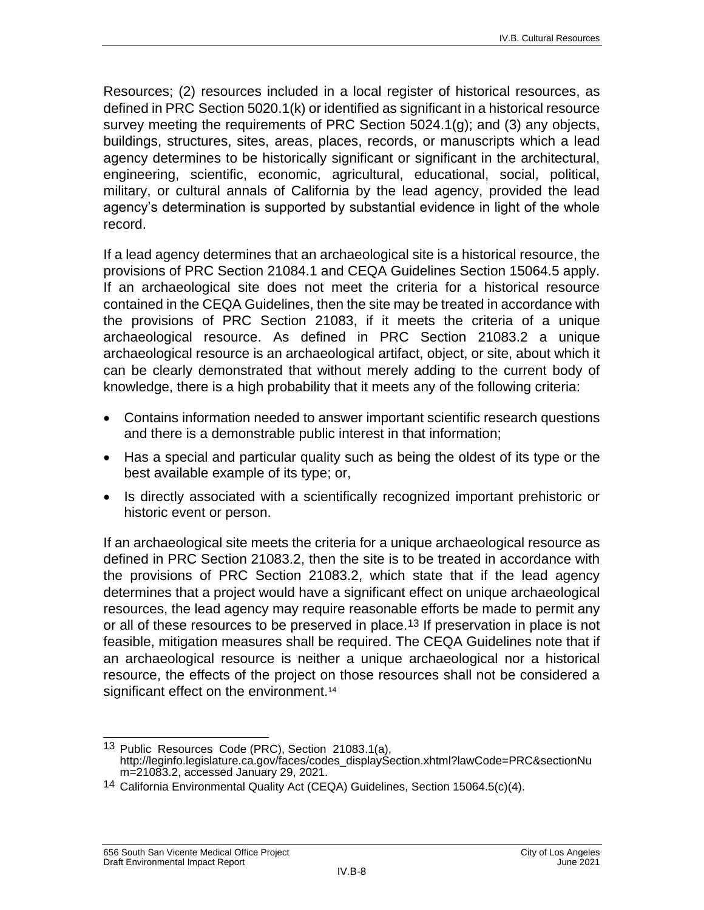Resources; (2) resources included in a local register of historical resources, as defined in PRC Section 5020.1(k) or identified as significant in a historical resource survey meeting the requirements of PRC Section 5024.1(g); and (3) any objects, buildings, structures, sites, areas, places, records, or manuscripts which a lead agency determines to be historically significant or significant in the architectural, engineering, scientific, economic, agricultural, educational, social, political, military, or cultural annals of California by the lead agency, provided the lead agency's determination is supported by substantial evidence in light of the whole record.

If a lead agency determines that an archaeological site is a historical resource, the provisions of PRC Section 21084.1 and CEQA Guidelines Section 15064.5 apply. If an archaeological site does not meet the criteria for a historical resource contained in the CEQA Guidelines, then the site may be treated in accordance with the provisions of PRC Section 21083, if it meets the criteria of a unique archaeological resource. As defined in PRC Section 21083.2 a unique archaeological resource is an archaeological artifact, object, or site, about which it can be clearly demonstrated that without merely adding to the current body of knowledge, there is a high probability that it meets any of the following criteria:

- Contains information needed to answer important scientific research questions and there is a demonstrable public interest in that information;
- Has a special and particular quality such as being the oldest of its type or the best available example of its type; or,
- Is directly associated with a scientifically recognized important prehistoric or historic event or person.

If an archaeological site meets the criteria for a unique archaeological resource as defined in PRC Section 21083.2, then the site is to be treated in accordance with the provisions of PRC Section 21083.2, which state that if the lead agency determines that a project would have a significant effect on unique archaeological resources, the lead agency may require reasonable efforts be made to permit any or all of these resources to be preserved in place.<sup>13</sup> If preservation in place is not feasible, mitigation measures shall be required. The CEQA Guidelines note that if an archaeological resource is neither a unique archaeological nor a historical resource, the effects of the project on those resources shall not be considered a significant effect on the environment.<sup>14</sup>

 $\overline{\phantom{a}}$ <sup>13</sup> Public Resources Code (PRC), Section 21083.1(a), [http://leginfo.legislature.ca.gov/faces/codes\\_displaySection.xhtml?lawCode=PRC&sectionNu](http://leginfo.legislature.ca.gov/faces/codes_displaySection.xhtml?lawCode=PRC§ionNum=21083.2.) [m=21083.2,](http://leginfo.legislature.ca.gov/faces/codes_displaySection.xhtml?lawCode=PRC§ionNum=21083.2.) accessed January 29, 2021.

<sup>14</sup> California Environmental Quality Act (CEQA) Guidelines, Section 15064.5(c)(4).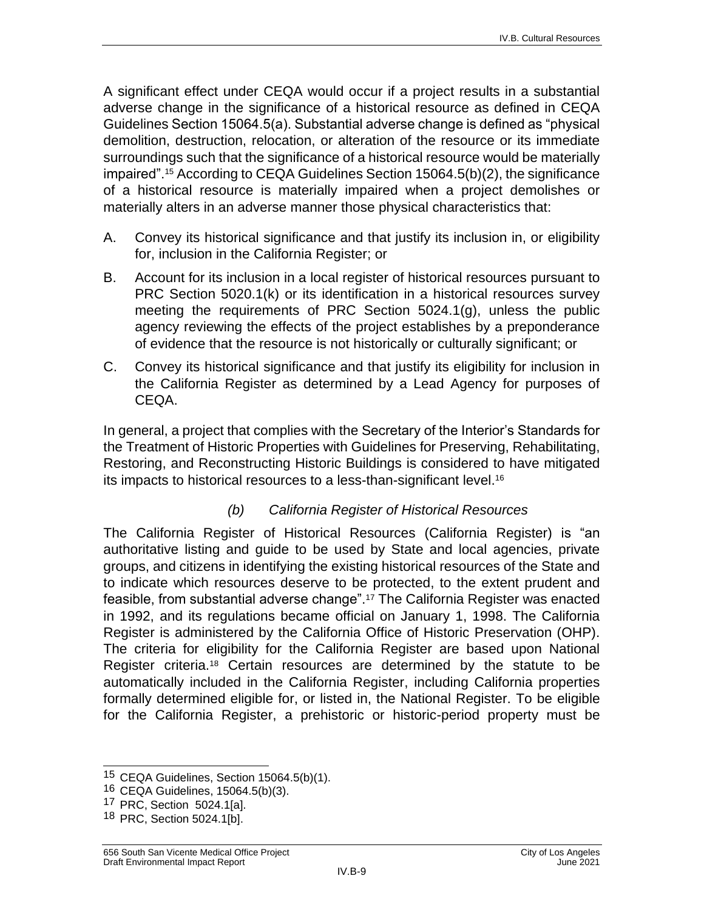A significant effect under CEQA would occur if a project results in a substantial adverse change in the significance of a historical resource as defined in CEQA Guidelines Section 15064.5(a). Substantial adverse change is defined as "physical demolition, destruction, relocation, or alteration of the resource or its immediate surroundings such that the significance of a historical resource would be materially impaired".<sup>15</sup> According to CEQA Guidelines Section 15064.5(b)(2), the significance of a historical resource is materially impaired when a project demolishes or materially alters in an adverse manner those physical characteristics that:

- A. Convey its historical significance and that justify its inclusion in, or eligibility for, inclusion in the California Register; or
- B. Account for its inclusion in a local register of historical resources pursuant to PRC Section 5020.1(k) or its identification in a historical resources survey meeting the requirements of PRC Section 5024.1(g), unless the public agency reviewing the effects of the project establishes by a preponderance of evidence that the resource is not historically or culturally significant; or
- C. Convey its historical significance and that justify its eligibility for inclusion in the California Register as determined by a Lead Agency for purposes of CEQA.

In general, a project that complies with the Secretary of the Interior's Standards for the Treatment of Historic Properties with Guidelines for Preserving, Rehabilitating, Restoring, and Reconstructing Historic Buildings is considered to have mitigated its impacts to historical resources to a less-than-significant level.<sup>16</sup>

#### *(b) California Register of Historical Resources*

The California Register of Historical Resources (California Register) is "an authoritative listing and guide to be used by State and local agencies, private groups, and citizens in identifying the existing historical resources of the State and to indicate which resources deserve to be protected, to the extent prudent and feasible, from substantial adverse change".<sup>17</sup> The California Register was enacted in 1992, and its regulations became official on January 1, 1998. The California Register is administered by the California Office of Historic Preservation (OHP). The criteria for eligibility for the California Register are based upon National Register criteria.<sup>18</sup> Certain resources are determined by the statute to be automatically included in the California Register, including California properties formally determined eligible for, or listed in, the National Register. To be eligible for the California Register, a prehistoric or historic-period property must be

17 PRC, Section 5024.1[a].

 $\overline{\phantom{a}}$ <sup>15</sup> CEQA Guidelines, Section 15064.5(b)(1).

<sup>16</sup> CEQA Guidelines, 15064.5(b)(3).

<sup>18</sup> PRC, Section 5024.1[b].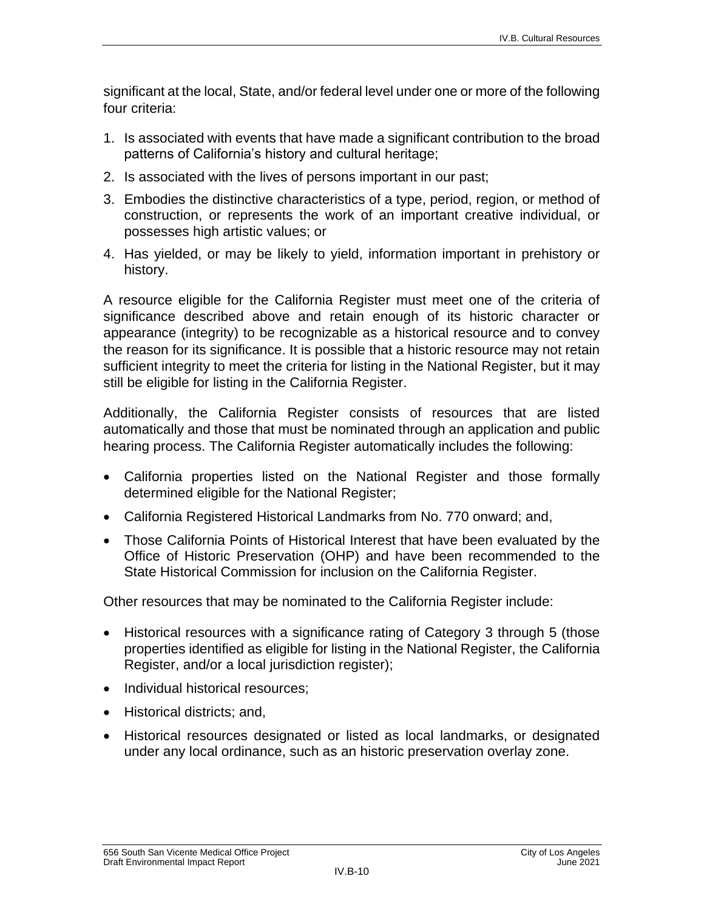significant at the local, State, and/or federal level under one or more of the following four criteria:

- 1. Is associated with events that have made a significant contribution to the broad patterns of California's history and cultural heritage;
- 2. Is associated with the lives of persons important in our past;
- 3. Embodies the distinctive characteristics of a type, period, region, or method of construction, or represents the work of an important creative individual, or possesses high artistic values; or
- 4. Has yielded, or may be likely to yield, information important in prehistory or history.

A resource eligible for the California Register must meet one of the criteria of significance described above and retain enough of its historic character or appearance (integrity) to be recognizable as a historical resource and to convey the reason for its significance. It is possible that a historic resource may not retain sufficient integrity to meet the criteria for listing in the National Register, but it may still be eligible for listing in the California Register.

Additionally, the California Register consists of resources that are listed automatically and those that must be nominated through an application and public hearing process. The California Register automatically includes the following:

- California properties listed on the National Register and those formally determined eligible for the National Register;
- California Registered Historical Landmarks from No. 770 onward; and,
- Those California Points of Historical Interest that have been evaluated by the Office of Historic Preservation (OHP) and have been recommended to the State Historical Commission for inclusion on the California Register.

Other resources that may be nominated to the California Register include:

- Historical resources with a significance rating of Category 3 through 5 (those properties identified as eligible for listing in the National Register, the California Register, and/or a local jurisdiction register);
- Individual historical resources;
- Historical districts; and,
- Historical resources designated or listed as local landmarks, or designated under any local ordinance, such as an historic preservation overlay zone.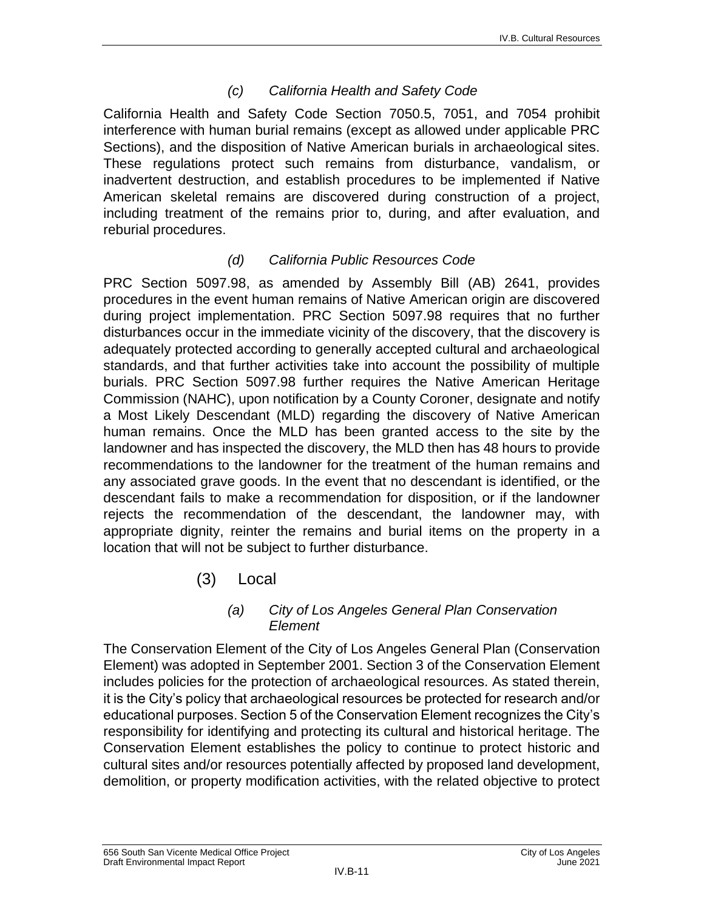#### *(c) California Health and Safety Code*

California Health and Safety Code Section 7050.5, 7051, and 7054 prohibit interference with human burial remains (except as allowed under applicable PRC Sections), and the disposition of Native American burials in archaeological sites. These regulations protect such remains from disturbance, vandalism, or inadvertent destruction, and establish procedures to be implemented if Native American skeletal remains are discovered during construction of a project, including treatment of the remains prior to, during, and after evaluation, and reburial procedures.

#### *(d) California Public Resources Code*

PRC Section 5097.98, as amended by Assembly Bill (AB) 2641, provides procedures in the event human remains of Native American origin are discovered during project implementation. PRC Section 5097.98 requires that no further disturbances occur in the immediate vicinity of the discovery, that the discovery is adequately protected according to generally accepted cultural and archaeological standards, and that further activities take into account the possibility of multiple burials. PRC Section 5097.98 further requires the Native American Heritage Commission (NAHC), upon notification by a County Coroner, designate and notify a Most Likely Descendant (MLD) regarding the discovery of Native American human remains. Once the MLD has been granted access to the site by the landowner and has inspected the discovery, the MLD then has 48 hours to provide recommendations to the landowner for the treatment of the human remains and any associated grave goods. In the event that no descendant is identified, or the descendant fails to make a recommendation for disposition, or if the landowner rejects the recommendation of the descendant, the landowner may, with appropriate dignity, reinter the remains and burial items on the property in a location that will not be subject to further disturbance.

(3) Local

#### *(a) City of Los Angeles General Plan Conservation Element*

The Conservation Element of the City of Los Angeles General Plan (Conservation Element) was adopted in September 2001. Section 3 of the Conservation Element includes policies for the protection of archaeological resources. As stated therein, it is the City's policy that archaeological resources be protected for research and/or educational purposes. Section 5 of the Conservation Element recognizes the City's responsibility for identifying and protecting its cultural and historical heritage. The Conservation Element establishes the policy to continue to protect historic and cultural sites and/or resources potentially affected by proposed land development, demolition, or property modification activities, with the related objective to protect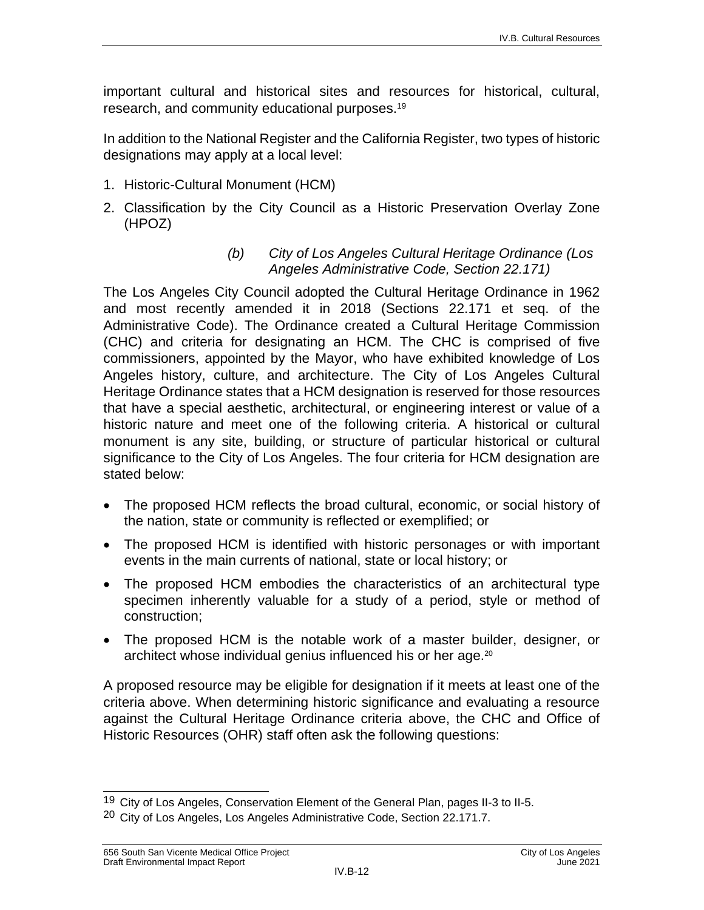important cultural and historical sites and resources for historical, cultural, research, and community educational purposes.<sup>19</sup>

In addition to the National Register and the California Register, two types of historic designations may apply at a local level:

- 1. Historic-Cultural Monument (HCM)
- 2. Classification by the City Council as a Historic Preservation Overlay Zone (HPOZ)

#### *(b) City of Los Angeles Cultural Heritage Ordinance (Los Angeles Administrative Code, Section 22.171)*

The Los Angeles City Council adopted the Cultural Heritage Ordinance in 1962 and most recently amended it in 2018 (Sections 22.171 et seq. of the Administrative Code). The Ordinance created a Cultural Heritage Commission (CHC) and criteria for designating an HCM. The CHC is comprised of five commissioners, appointed by the Mayor, who have exhibited knowledge of Los Angeles history, culture, and architecture. The City of Los Angeles Cultural Heritage Ordinance states that a HCM designation is reserved for those resources that have a special aesthetic, architectural, or engineering interest or value of a historic nature and meet one of the following criteria. A historical or cultural monument is any site, building, or structure of particular historical or cultural significance to the City of Los Angeles. The four criteria for HCM designation are stated below:

- The proposed HCM reflects the broad cultural, economic, or social history of the nation, state or community is reflected or exemplified; or
- The proposed HCM is identified with historic personages or with important events in the main currents of national, state or local history; or
- The proposed HCM embodies the characteristics of an architectural type specimen inherently valuable for a study of a period, style or method of construction;
- The proposed HCM is the notable work of a master builder, designer, or architect whose individual genius influenced his or her age.<sup>20</sup>

A proposed resource may be eligible for designation if it meets at least one of the criteria above. When determining historic significance and evaluating a resource against the Cultural Heritage Ordinance criteria above, the CHC and Office of Historic Resources (OHR) staff often ask the following questions:

 $\overline{\phantom{a}}$ <sup>19</sup> City of Los Angeles, Conservation Element of the General Plan, pages II-3 to II-5.

<sup>20</sup> City of Los Angeles, Los Angeles Administrative Code, Section 22.171.7.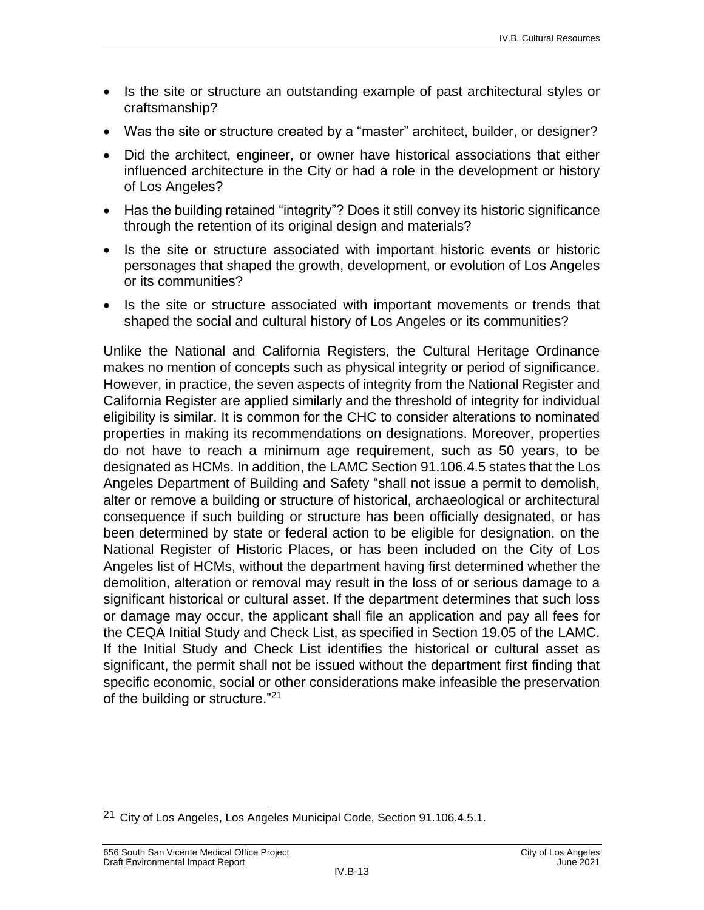- Is the site or structure an outstanding example of past architectural styles or craftsmanship?
- Was the site or structure created by a "master" architect, builder, or designer?
- Did the architect, engineer, or owner have historical associations that either influenced architecture in the City or had a role in the development or history of Los Angeles?
- Has the building retained "integrity"? Does it still convey its historic significance through the retention of its original design and materials?
- Is the site or structure associated with important historic events or historic personages that shaped the growth, development, or evolution of Los Angeles or its communities?
- Is the site or structure associated with important movements or trends that shaped the social and cultural history of Los Angeles or its communities?

Unlike the National and California Registers, the Cultural Heritage Ordinance makes no mention of concepts such as physical integrity or period of significance. However, in practice, the seven aspects of integrity from the National Register and California Register are applied similarly and the threshold of integrity for individual eligibility is similar. It is common for the CHC to consider alterations to nominated properties in making its recommendations on designations. Moreover, properties do not have to reach a minimum age requirement, such as 50 years, to be designated as HCMs. In addition, the LAMC Section 91.106.4.5 states that the Los Angeles Department of Building and Safety "shall not issue a permit to demolish, alter or remove a building or structure of historical, archaeological or architectural consequence if such building or structure has been officially designated, or has been determined by state or federal action to be eligible for designation, on the National Register of Historic Places, or has been included on the City of Los Angeles list of HCMs, without the department having first determined whether the demolition, alteration or removal may result in the loss of or serious damage to a significant historical or cultural asset. If the department determines that such loss or damage may occur, the applicant shall file an application and pay all fees for the CEQA Initial Study and Check List, as specified in Section [19.05](http://library.amlegal.com/nxt/gateway.dll?f=jumplink$jumplink_x=Advanced$jumplink_vpc=first$jumplink_xsl=querylink.xsl$jumplink_sel=title;path;content-type;home-title;item-bookmark$jumplink_d=california(lamc)$jumplink_q=%5bfield%20folio-destination-name:%2719.05.%27%5d$jumplink_md=target-id=JD_19.05.) of the LAMC. If the Initial Study and Check List identifies the historical or cultural asset as significant, the permit shall not be issued without the department first finding that specific economic, social or other considerations make infeasible the preservation of the building or structure."<sup>21</sup>

 $\overline{\phantom{a}}$ <sup>21</sup> City of Los Angeles, Los Angeles Municipal Code, Section 91.106.4.5.1.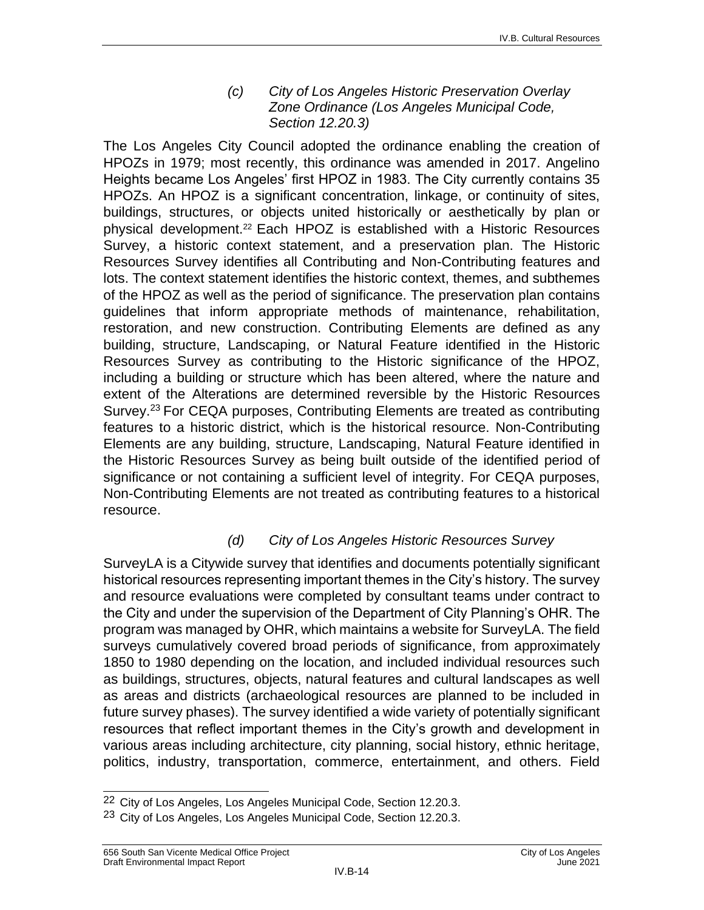*(c) City of Los Angeles Historic Preservation Overlay Zone Ordinance (Los Angeles Municipal Code, Section 12.20.3)*

The Los Angeles City Council adopted the ordinance enabling the creation of HPOZs in 1979; most recently, this ordinance was amended in 2017. Angelino Heights became Los Angeles' first HPOZ in 1983. The City currently contains 35 HPOZs. An HPOZ is a significant concentration, linkage, or continuity of sites, buildings, structures, or objects united historically or aesthetically by plan or physical development.<sup>22</sup> Each HPOZ is established with a Historic Resources Survey, a historic context statement, and a preservation plan. The Historic Resources Survey identifies all Contributing and Non-Contributing features and lots. The context statement identifies the historic context, themes, and subthemes of the HPOZ as well as the period of significance. The preservation plan contains guidelines that inform appropriate methods of maintenance, rehabilitation, restoration, and new construction. Contributing Elements are defined as any building, structure, Landscaping, or Natural Feature identified in the Historic Resources Survey as contributing to the Historic significance of the HPOZ, including a building or structure which has been altered, where the nature and extent of the Alterations are determined reversible by the Historic Resources Survey.<sup>23</sup> For CEQA purposes, Contributing Elements are treated as contributing features to a historic district, which is the historical resource. Non-Contributing Elements are any building, structure, Landscaping, Natural Feature identified in the Historic Resources Survey as being built outside of the identified period of significance or not containing a sufficient level of integrity. For CEQA purposes, Non-Contributing Elements are not treated as contributing features to a historical resource.

#### *(d) City of Los Angeles Historic Resources Survey*

SurveyLA is a Citywide survey that identifies and documents potentially significant historical resources representing important themes in the City's history. The survey and resource evaluations were completed by consultant teams under contract to the City and under the supervision of the Department of City Planning's OHR. The program was managed by OHR, which maintains a website for SurveyLA. The field surveys cumulatively covered broad periods of significance, from approximately 1850 to 1980 depending on the location, and included individual resources such as buildings, structures, objects, natural features and cultural landscapes as well as areas and districts (archaeological resources are planned to be included in future survey phases). The survey identified a wide variety of potentially significant resources that reflect important themes in the City's growth and development in various areas including architecture, city planning, social history, ethnic heritage, politics, industry, transportation, commerce, entertainment, and others. Field

 $\overline{\phantom{a}}$ <sup>22</sup> City of Los Angeles, Los Angeles Municipal Code, Section 12.20.3.

<sup>&</sup>lt;sup>23</sup> City of Los Angeles, Los Angeles Municipal Code, Section 12.20.3.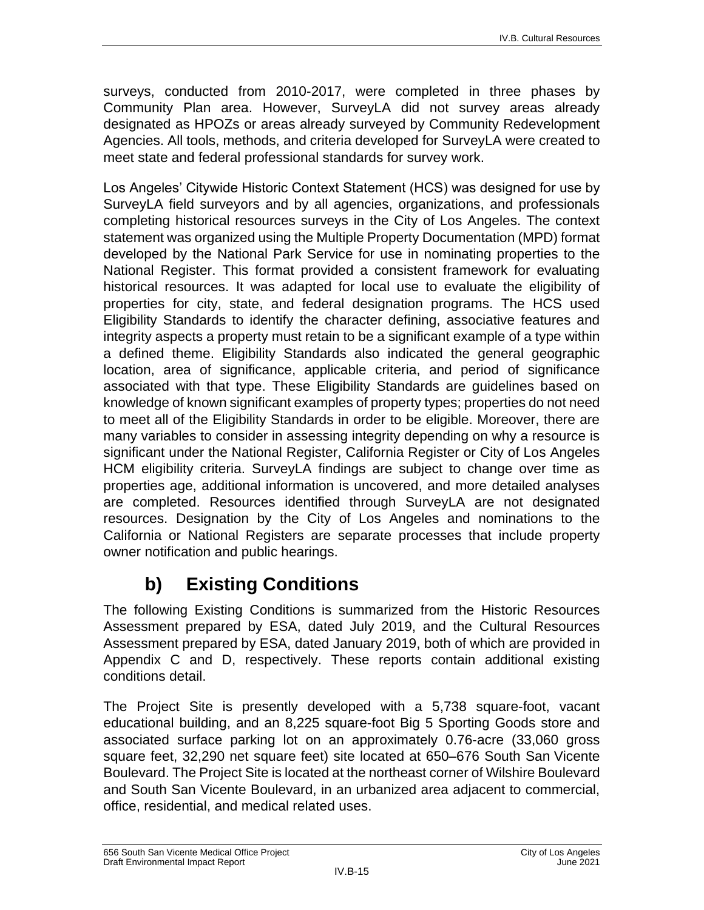surveys, conducted from 2010-2017, were completed in three phases by Community Plan area. However, SurveyLA did not survey areas already designated as HPOZs or areas already surveyed by Community Redevelopment Agencies. All tools, methods, and criteria developed for SurveyLA were created to meet state and federal professional standards for survey work.

Los Angeles' Citywide Historic Context Statement (HCS) was designed for use by SurveyLA field surveyors and by all agencies, organizations, and professionals completing historical resources surveys in the City of Los Angeles. The context statement was organized using the Multiple Property Documentation (MPD) format developed by the National Park Service for use in nominating properties to the National Register. This format provided a consistent framework for evaluating historical resources. It was adapted for local use to evaluate the eligibility of properties for city, state, and federal designation programs. The HCS used Eligibility Standards to identify the character defining, associative features and integrity aspects a property must retain to be a significant example of a type within a defined theme. Eligibility Standards also indicated the general geographic location, area of significance, applicable criteria, and period of significance associated with that type. These Eligibility Standards are guidelines based on knowledge of known significant examples of property types; properties do not need to meet all of the Eligibility Standards in order to be eligible. Moreover, there are many variables to consider in assessing integrity depending on why a resource is significant under the National Register, California Register or City of Los Angeles HCM eligibility criteria. SurveyLA findings are subject to change over time as properties age, additional information is uncovered, and more detailed analyses are completed. Resources identified through SurveyLA are not designated resources. Designation by the City of Los Angeles and nominations to the California or National Registers are separate processes that include property owner notification and public hearings.

## **b) Existing Conditions**

The following Existing Conditions is summarized from the Historic Resources Assessment prepared by ESA, dated July 2019, and the Cultural Resources Assessment prepared by ESA, dated January 2019, both of which are provided in Appendix C and D, respectively. These reports contain additional existing conditions detail.

The Project Site is presently developed with a 5,738 square-foot, vacant educational building, and an 8,225 square-foot Big 5 Sporting Goods store and associated surface parking lot on an approximately 0.76-acre (33,060 gross square feet, 32,290 net square feet) site located at 650–676 South San Vicente Boulevard. The Project Site is located at the northeast corner of Wilshire Boulevard and South San Vicente Boulevard, in an urbanized area adjacent to commercial, office, residential, and medical related uses.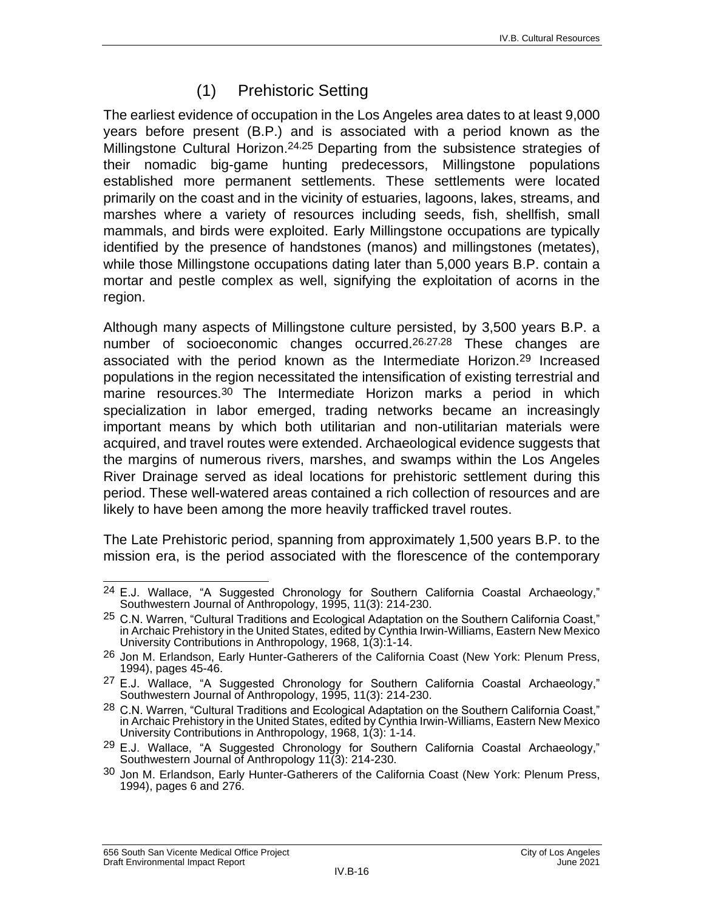## (1) Prehistoric Setting

The earliest evidence of occupation in the Los Angeles area dates to at least 9,000 years before present (B.P.) and is associated with a period known as the Millingstone Cultural Horizon.<sup>24,25</sup> Departing from the subsistence strategies of their nomadic big-game hunting predecessors, Millingstone populations established more permanent settlements. These settlements were located primarily on the coast and in the vicinity of estuaries, lagoons, lakes, streams, and marshes where a variety of resources including seeds, fish, shellfish, small mammals, and birds were exploited. Early Millingstone occupations are typically identified by the presence of handstones (manos) and millingstones (metates), while those Millingstone occupations dating later than 5,000 years B.P. contain a mortar and pestle complex as well, signifying the exploitation of acorns in the region.

Although many aspects of Millingstone culture persisted, by 3,500 years B.P. a number of socioeconomic changes occurred.<sup>26,27,28</sup> These changes are associated with the period known as the Intermediate Horizon. 29 Increased populations in the region necessitated the intensification of existing terrestrial and marine resources. 30 The Intermediate Horizon marks a period in which specialization in labor emerged, trading networks became an increasingly important means by which both utilitarian and non-utilitarian materials were acquired, and travel routes were extended. Archaeological evidence suggests that the margins of numerous rivers, marshes, and swamps within the Los Angeles River Drainage served as ideal locations for prehistoric settlement during this period. These well-watered areas contained a rich collection of resources and are likely to have been among the more heavily trafficked travel routes.

The Late Prehistoric period, spanning from approximately 1,500 years B.P. to the mission era, is the period associated with the florescence of the contemporary

 $\overline{\phantom{a}}$  $24$  E.J. Wallace, "A Suggested Chronology for Southern California Coastal Archaeology," Southwestern Journal of Anthropology, 1995, 11(3): 214-230.

<sup>25</sup> C.N. Warren, "Cultural Traditions and Ecological Adaptation on the Southern California Coast," in Archaic Prehistory in the United States, edited by Cynthia Irwin-Williams, Eastern New Mexico University Contributions in Anthropology, 1968, 1(3):1-14.

<sup>26</sup> Jon M. Erlandson, Early Hunter-Gatherers of the California Coast (New York: Plenum Press, 1994), pages 45-46.

 $27$  E.J. Wallace, "A Suggested Chronology for Southern California Coastal Archaeology," Southwestern Journal of Anthropology, 1995, 11(3): 214-230.

 $^{28}$  C.N. Warren, "Cultural Traditions and Ecological Adaptation on the Southern California Coast," in Archaic Prehistory in the United States, edited by Cynthia Irwin-Williams, Eastern New Mexico University Contributions in Anthropology, 1968, 1(3): 1-14.

<sup>&</sup>lt;sup>29</sup> E.J. Wallace, "A Suggested Chronology for Southern California Coastal Archaeology," Southwestern Journal of Anthropology 11(3): 214-230.

<sup>30</sup> Jon M. Erlandson, Early Hunter-Gatherers of the California Coast (New York: Plenum Press, 1994), pages 6 and 276.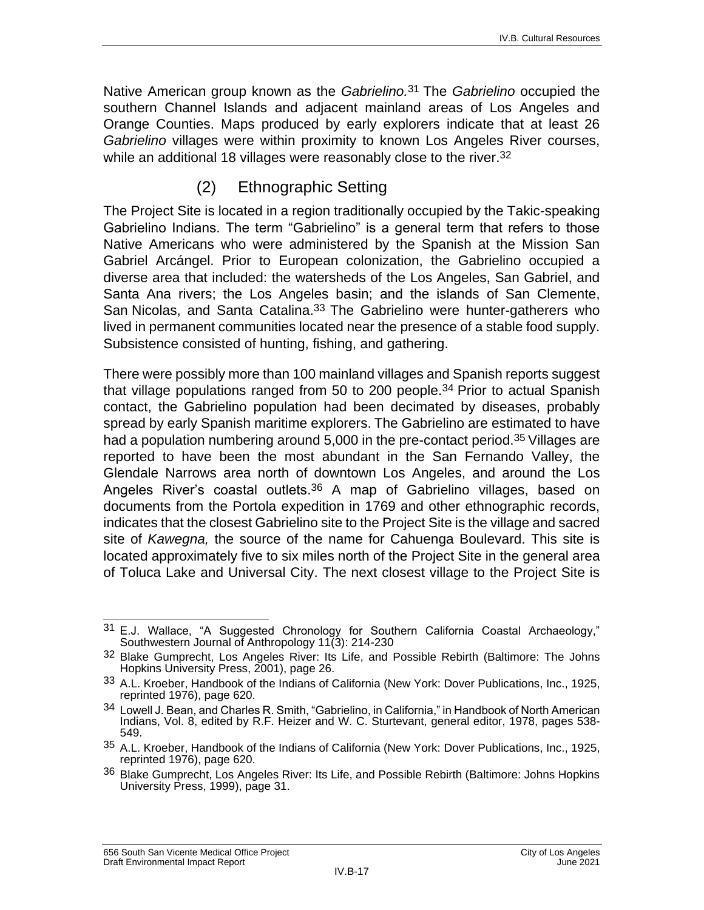Native American group known as the *Gabrielino.* 31 The *Gabrielino* occupied the southern Channel Islands and adjacent mainland areas of Los Angeles and Orange Counties. Maps produced by early explorers indicate that at least 26 *Gabrielino* villages were within proximity to known Los Angeles River courses, while an additional 18 villages were reasonably close to the river.<sup>32</sup>

### (2) Ethnographic Setting

The Project Site is located in a region traditionally occupied by the Takic-speaking Gabrielino Indians. The term "Gabrielino" is a general term that refers to those Native Americans who were administered by the Spanish at the Mission San Gabriel Arcángel. Prior to European colonization, the Gabrielino occupied a diverse area that included: the watersheds of the Los Angeles, San Gabriel, and Santa Ana rivers; the Los Angeles basin; and the islands of San Clemente, San Nicolas, and Santa Catalina.<sup>33</sup> The Gabrielino were hunter-gatherers who lived in permanent communities located near the presence of a stable food supply. Subsistence consisted of hunting, fishing, and gathering.

There were possibly more than 100 mainland villages and Spanish reports suggest that village populations ranged from 50 to 200 people. 34 Prior to actual Spanish contact, the Gabrielino population had been decimated by diseases, probably spread by early Spanish maritime explorers. The Gabrielino are estimated to have had a population numbering around 5,000 in the pre-contact period.<sup>35</sup> Villages are reported to have been the most abundant in the San Fernando Valley, the Glendale Narrows area north of downtown Los Angeles, and around the Los Angeles River's coastal outlets.<sup>36</sup> A map of Gabrielino villages, based on documents from the Portola expedition in 1769 and other ethnographic records, indicates that the closest Gabrielino site to the Project Site is the village and sacred site of *Kawegna,* the source of the name for Cahuenga Boulevard. This site is located approximately five to six miles north of the Project Site in the general area of Toluca Lake and Universal City. The next closest village to the Project Site is

 $\overline{\phantom{a}}$  $31$  E.J. Wallace, "A Suggested Chronology for Southern California Coastal Archaeology," Southwestern Journal of Anthropology 11(3): 214-230

<sup>32</sup> Blake Gumprecht, Los Angeles River: Its Life, and Possible Rebirth (Baltimore: The Johns Hopkins University Press, 2001), page 26.

<sup>33</sup> A.L. Kroeber, Handbook of the Indians of California (New York: Dover Publications, Inc., 1925, reprinted 1976), page 620.

<sup>&</sup>lt;sup>34</sup> Lowell J. Bean, and Charles R. Smith, "Gabrielino, in California," in Handbook of North American Indians, Vol. 8, edited by R.F. Heizer and W. C. Sturtevant, general editor, 1978, pages 538- 549.

<sup>35</sup> A.L. Kroeber, Handbook of the Indians of California (New York: Dover Publications, Inc., 1925, reprinted 1976), page 620.

<sup>36</sup> Blake Gumprecht, Los Angeles River: Its Life, and Possible Rebirth (Baltimore: Johns Hopkins University Press, 1999), page 31.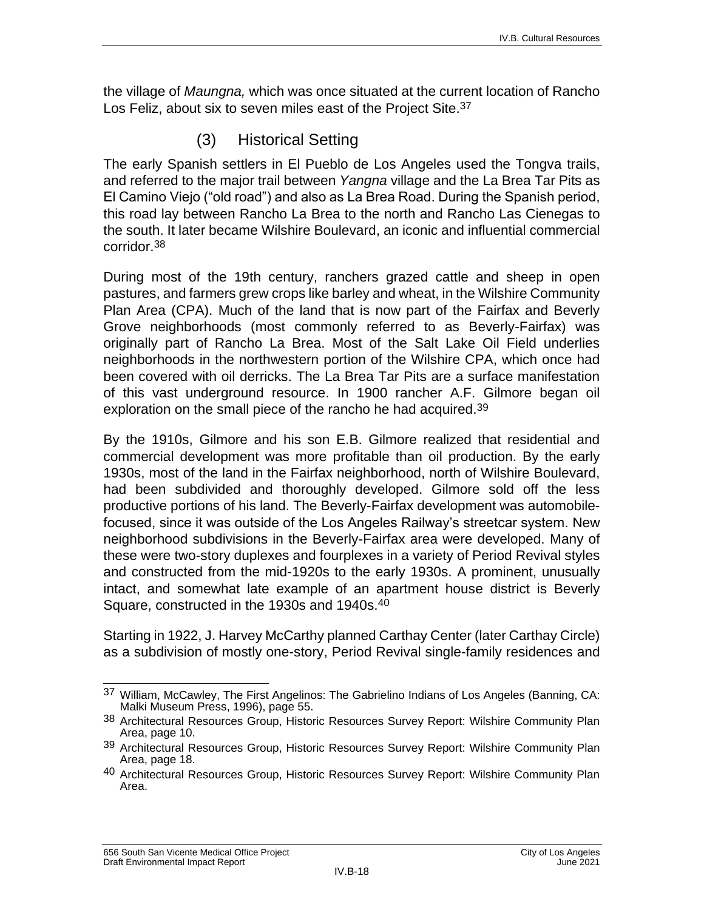the village of *Maungna,* which was once situated at the current location of Rancho Los Feliz, about six to seven miles east of the Project Site. 37

## (3) Historical Setting

The early Spanish settlers in El Pueblo de Los Angeles used the Tongva trails, and referred to the major trail between *Yangna* village and the La Brea Tar Pits as El Camino Viejo ("old road") and also as La Brea Road. During the Spanish period, this road lay between Rancho La Brea to the north and Rancho Las Cienegas to the south. It later became Wilshire Boulevard, an iconic and influential commercial corridor.38

During most of the 19th century, ranchers grazed cattle and sheep in open pastures, and farmers grew crops like barley and wheat, in the Wilshire Community Plan Area (CPA). Much of the land that is now part of the Fairfax and Beverly Grove neighborhoods (most commonly referred to as Beverly-Fairfax) was originally part of Rancho La Brea. Most of the Salt Lake Oil Field underlies neighborhoods in the northwestern portion of the Wilshire CPA, which once had been covered with oil derricks. The La Brea Tar Pits are a surface manifestation of this vast underground resource. In 1900 rancher A.F. Gilmore began oil exploration on the small piece of the rancho he had acquired.<sup>39</sup>

By the 1910s, Gilmore and his son E.B. Gilmore realized that residential and commercial development was more profitable than oil production. By the early 1930s, most of the land in the Fairfax neighborhood, north of Wilshire Boulevard, had been subdivided and thoroughly developed. Gilmore sold off the less productive portions of his land. The Beverly-Fairfax development was automobilefocused, since it was outside of the Los Angeles Railway's streetcar system. New neighborhood subdivisions in the Beverly-Fairfax area were developed. Many of these were two-story duplexes and fourplexes in a variety of Period Revival styles and constructed from the mid-1920s to the early 1930s. A prominent, unusually intact, and somewhat late example of an apartment house district is Beverly Square, constructed in the 1930s and 1940s.40

Starting in 1922, J. Harvey McCarthy planned Carthay Center (later Carthay Circle) as a subdivision of mostly one-story, Period Revival single-family residences and

 $\overline{\phantom{a}}$  $37$  William, McCawley, The First Angelinos: The Gabrielino Indians of Los Angeles (Banning, CA: Malki Museum Press, 1996), page 55.

<sup>38</sup> Architectural Resources Group, Historic Resources Survey Report: Wilshire Community Plan Area, page 10.

<sup>39</sup> Architectural Resources Group, Historic Resources Survey Report: Wilshire Community Plan Area, page 18.

<sup>40</sup> Architectural Resources Group, Historic Resources Survey Report: Wilshire Community Plan Area.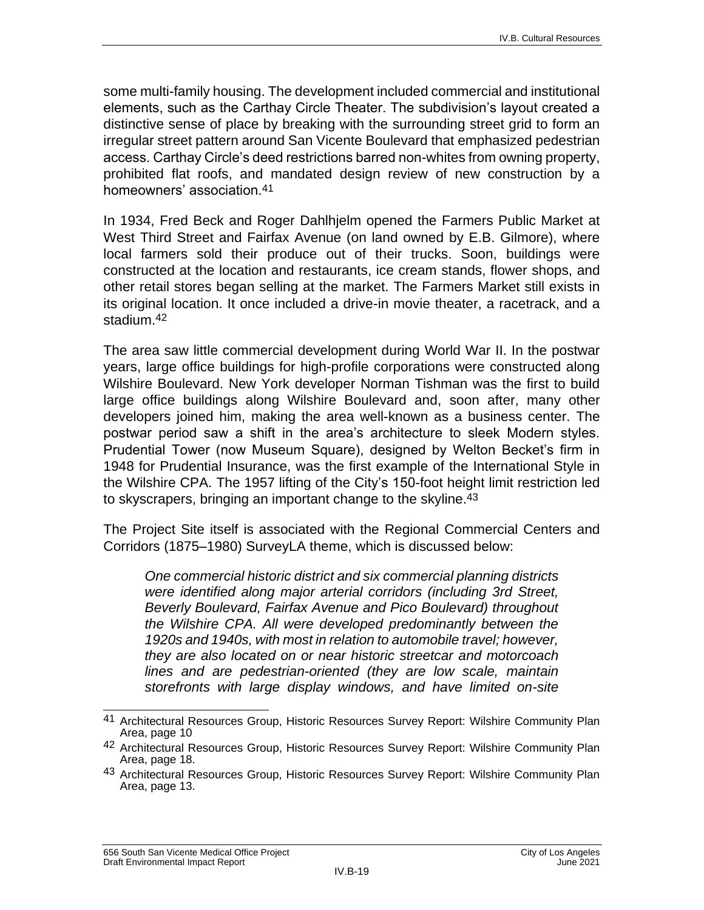some multi-family housing. The development included commercial and institutional elements, such as the Carthay Circle Theater. The subdivision's layout created a distinctive sense of place by breaking with the surrounding street grid to form an irregular street pattern around San Vicente Boulevard that emphasized pedestrian access. Carthay Circle's deed restrictions barred non-whites from owning property, prohibited flat roofs, and mandated design review of new construction by a homeowners' association.41

In 1934, Fred Beck and Roger Dahlhjelm opened the Farmers Public Market at West Third Street and Fairfax Avenue (on land owned by E.B. Gilmore), where local farmers sold their produce out of their trucks. Soon, buildings were constructed at the location and restaurants, ice cream stands, flower shops, and other retail stores began selling at the market. The Farmers Market still exists in its original location. It once included a drive-in movie theater, a racetrack, and a stadium.42

The area saw little commercial development during World War II. In the postwar years, large office buildings for high-profile corporations were constructed along Wilshire Boulevard. New York developer Norman Tishman was the first to build large office buildings along Wilshire Boulevard and, soon after, many other developers joined him, making the area well-known as a business center. The postwar period saw a shift in the area's architecture to sleek Modern styles. Prudential Tower (now Museum Square), designed by Welton Becket's firm in 1948 for Prudential Insurance, was the first example of the International Style in the Wilshire CPA. The 1957 lifting of the City's 150-foot height limit restriction led to skyscrapers, bringing an important change to the skyline.<sup>43</sup>

The Project Site itself is associated with the Regional Commercial Centers and Corridors (1875–1980) SurveyLA theme, which is discussed below:

*One commercial historic district and six commercial planning districts were identified along major arterial corridors (including 3rd Street, Beverly Boulevard, Fairfax Avenue and Pico Boulevard) throughout the Wilshire CPA. All were developed predominantly between the 1920s and 1940s, with most in relation to automobile travel; however, they are also located on or near historic streetcar and motorcoach lines and are pedestrian-oriented (they are low scale, maintain storefronts with large display windows, and have limited on-site* 

 $\overline{\phantom{a}}$ 41 Architectural Resources Group, Historic Resources Survey Report: Wilshire Community Plan Area, page 10

<sup>42</sup> Architectural Resources Group, Historic Resources Survey Report: Wilshire Community Plan Area, page 18.

<sup>43</sup> Architectural Resources Group, Historic Resources Survey Report: Wilshire Community Plan Area, page 13.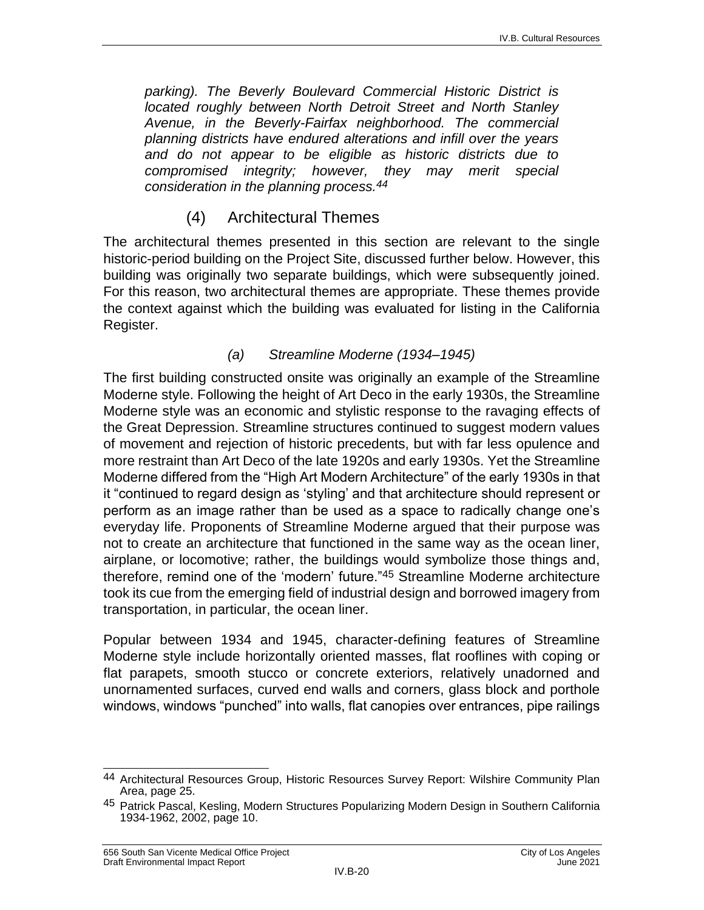*parking). The Beverly Boulevard Commercial Historic District is located roughly between North Detroit Street and North Stanley Avenue, in the Beverly-Fairfax neighborhood. The commercial planning districts have endured alterations and infill over the years and do not appear to be eligible as historic districts due to compromised integrity; however, they may merit special consideration in the planning process.44*

## (4) Architectural Themes

The architectural themes presented in this section are relevant to the single historic-period building on the Project Site, discussed further below. However, this building was originally two separate buildings, which were subsequently joined. For this reason, two architectural themes are appropriate. These themes provide the context against which the building was evaluated for listing in the California Register.

#### *(a) Streamline Moderne (1934–1945)*

The first building constructed onsite was originally an example of the Streamline Moderne style. Following the height of Art Deco in the early 1930s, the Streamline Moderne style was an economic and stylistic response to the ravaging effects of the Great Depression. Streamline structures continued to suggest modern values of movement and rejection of historic precedents, but with far less opulence and more restraint than Art Deco of the late 1920s and early 1930s. Yet the Streamline Moderne differed from the "High Art Modern Architecture" of the early 1930s in that it "continued to regard design as 'styling' and that architecture should represent or perform as an image rather than be used as a space to radically change one's everyday life. Proponents of Streamline Moderne argued that their purpose was not to create an architecture that functioned in the same way as the ocean liner, airplane, or locomotive; rather, the buildings would symbolize those things and, therefore, remind one of the 'modern' future."45 Streamline Moderne architecture took its cue from the emerging field of industrial design and borrowed imagery from transportation, in particular, the ocean liner.

Popular between 1934 and 1945, character-defining features of Streamline Moderne style include horizontally oriented masses, flat rooflines with coping or flat parapets, smooth stucco or concrete exteriors, relatively unadorned and unornamented surfaces, curved end walls and corners, glass block and porthole windows, windows "punched" into walls, flat canopies over entrances, pipe railings

 $\overline{\phantom{a}}$ 44 Architectural Resources Group, Historic Resources Survey Report: Wilshire Community Plan Area, page 25.

<sup>45</sup> Patrick Pascal, Kesling, Modern Structures Popularizing Modern Design in Southern California 1934-1962, 2002, page 10.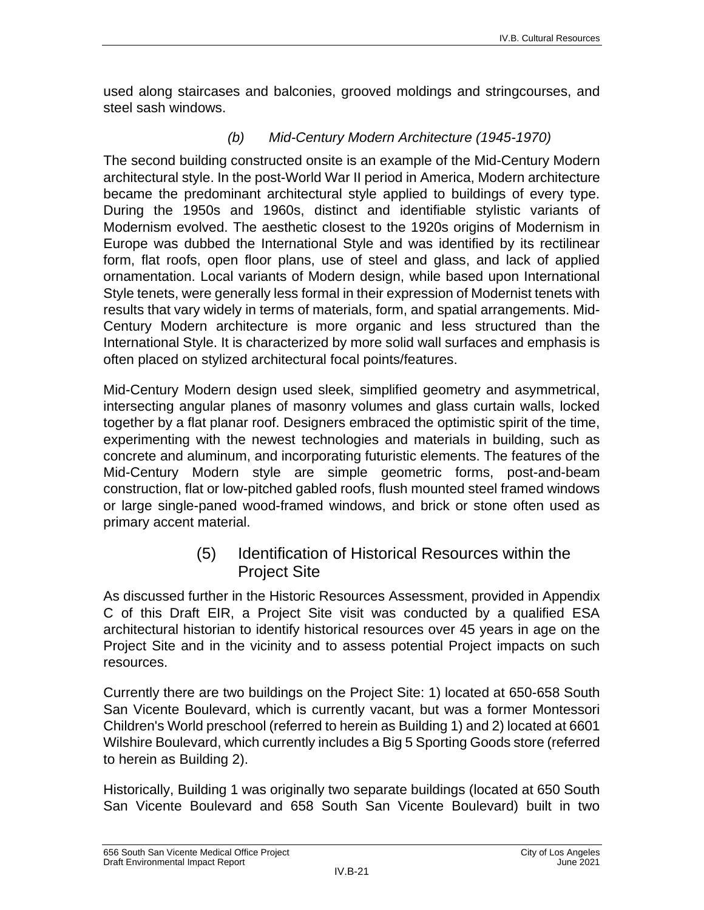used along staircases and balconies, grooved moldings and stringcourses, and steel sash windows.

#### *(b) Mid-Century Modern Architecture (1945-1970)*

The second building constructed onsite is an example of the Mid-Century Modern architectural style. In the post-World War II period in America, Modern architecture became the predominant architectural style applied to buildings of every type. During the 1950s and 1960s, distinct and identifiable stylistic variants of Modernism evolved. The aesthetic closest to the 1920s origins of Modernism in Europe was dubbed the International Style and was identified by its rectilinear form, flat roofs, open floor plans, use of steel and glass, and lack of applied ornamentation. Local variants of Modern design, while based upon International Style tenets, were generally less formal in their expression of Modernist tenets with results that vary widely in terms of materials, form, and spatial arrangements. Mid-Century Modern architecture is more organic and less structured than the International Style. It is characterized by more solid wall surfaces and emphasis is often placed on stylized architectural focal points/features.

Mid-Century Modern design used sleek, simplified geometry and asymmetrical, intersecting angular planes of masonry volumes and glass curtain walls, locked together by a flat planar roof. Designers embraced the optimistic spirit of the time, experimenting with the newest technologies and materials in building, such as concrete and aluminum, and incorporating futuristic elements. The features of the Mid-Century Modern style are simple geometric forms, post-and-beam construction, flat or low-pitched gabled roofs, flush mounted steel framed windows or large single-paned wood-framed windows, and brick or stone often used as primary accent material.

### (5) Identification of Historical Resources within the Project Site

As discussed further in the Historic Resources Assessment, provided in Appendix C of this Draft EIR, a Project Site visit was conducted by a qualified ESA architectural historian to identify historical resources over 45 years in age on the Project Site and in the vicinity and to assess potential Project impacts on such resources.

Currently there are two buildings on the Project Site: 1) located at 650-658 South San Vicente Boulevard, which is currently vacant, but was a former Montessori Children's World preschool (referred to herein as Building 1) and 2) located at 6601 Wilshire Boulevard, which currently includes a Big 5 Sporting Goods store (referred to herein as Building 2).

Historically, Building 1 was originally two separate buildings (located at 650 South San Vicente Boulevard and 658 South San Vicente Boulevard) built in two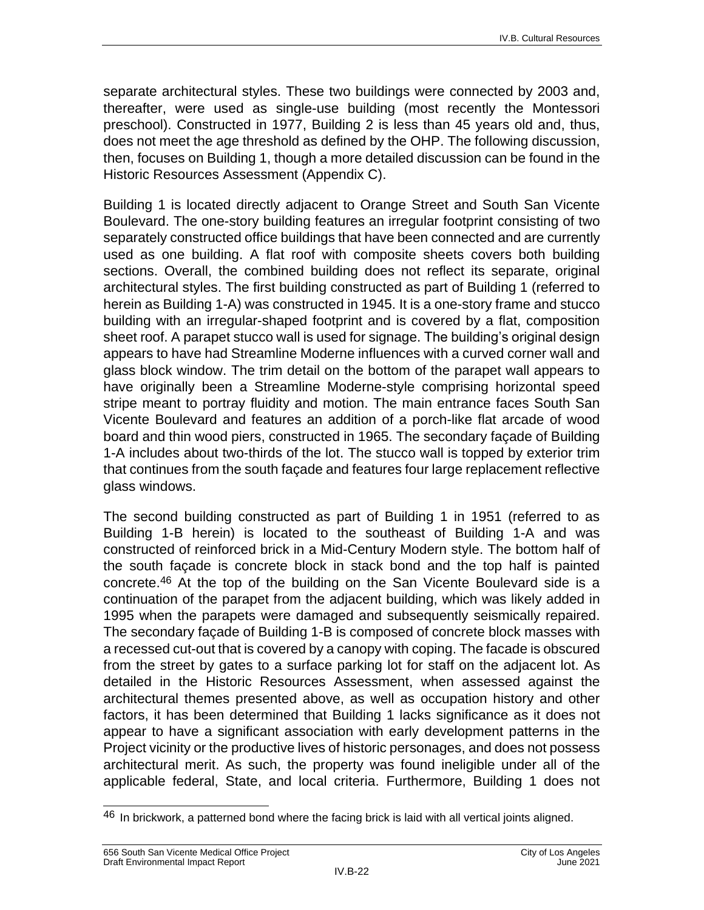separate architectural styles. These two buildings were connected by 2003 and, thereafter, were used as single-use building (most recently the Montessori preschool). Constructed in 1977, Building 2 is less than 45 years old and, thus, does not meet the age threshold as defined by the OHP. The following discussion, then, focuses on Building 1, though a more detailed discussion can be found in the Historic Resources Assessment (Appendix C).

Building 1 is located directly adjacent to Orange Street and South San Vicente Boulevard. The one-story building features an irregular footprint consisting of two separately constructed office buildings that have been connected and are currently used as one building. A flat roof with composite sheets covers both building sections. Overall, the combined building does not reflect its separate, original architectural styles. The first building constructed as part of Building 1 (referred to herein as Building 1-A) was constructed in 1945. It is a one-story frame and stucco building with an irregular-shaped footprint and is covered by a flat, composition sheet roof. A parapet stucco wall is used for signage. The building's original design appears to have had Streamline Moderne influences with a curved corner wall and glass block window. The trim detail on the bottom of the parapet wall appears to have originally been a Streamline Moderne-style comprising horizontal speed stripe meant to portray fluidity and motion. The main entrance faces South San Vicente Boulevard and features an addition of a porch-like flat arcade of wood board and thin wood piers, constructed in 1965. The secondary façade of Building 1-A includes about two-thirds of the lot. The stucco wall is topped by exterior trim that continues from the south façade and features four large replacement reflective glass windows.

The second building constructed as part of Building 1 in 1951 (referred to as Building 1-B herein) is located to the southeast of Building 1-A and was constructed of reinforced brick in a Mid-Century Modern style. The bottom half of the south façade is concrete block in stack bond and the top half is painted concrete.46 At the top of the building on the San Vicente Boulevard side is a continuation of the parapet from the adjacent building, which was likely added in 1995 when the parapets were damaged and subsequently seismically repaired. The secondary façade of Building 1-B is composed of concrete block masses with a recessed cut-out that is covered by a canopy with coping. The facade is obscured from the street by gates to a surface parking lot for staff on the adjacent lot. As detailed in the Historic Resources Assessment, when assessed against the architectural themes presented above, as well as occupation history and other factors, it has been determined that Building 1 lacks significance as it does not appear to have a significant association with early development patterns in the Project vicinity or the productive lives of historic personages, and does not possess architectural merit. As such, the property was found ineligible under all of the applicable federal, State, and local criteria. Furthermore, Building 1 does not

 $\overline{\phantom{a}}$  $46$  In brickwork, a patterned bond where the facing brick is laid with all vertical joints aligned.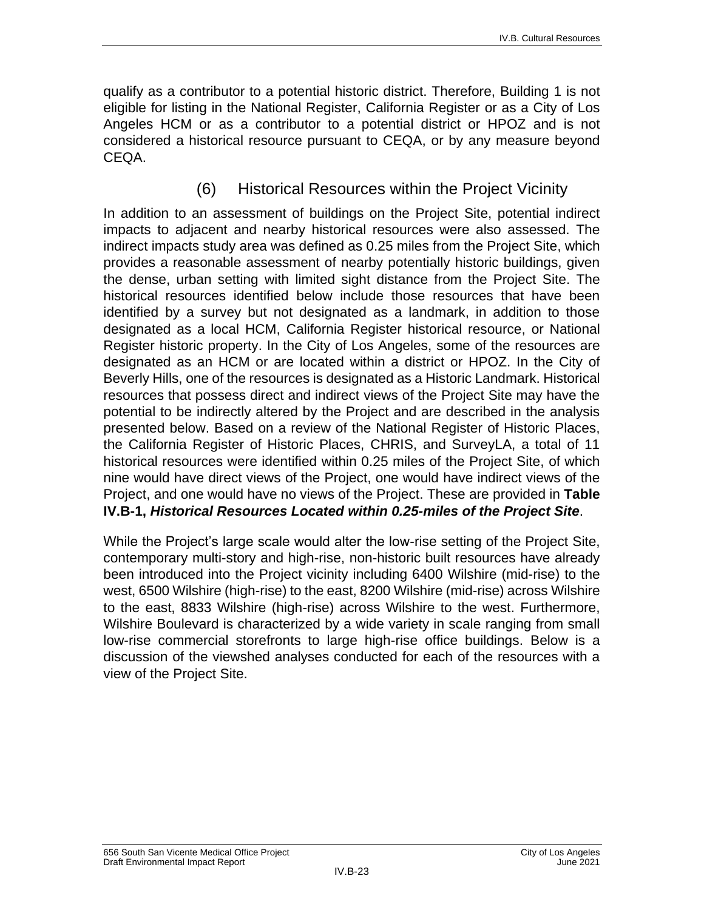qualify as a contributor to a potential historic district. Therefore, Building 1 is not eligible for listing in the National Register, California Register or as a City of Los Angeles HCM or as a contributor to a potential district or HPOZ and is not considered a historical resource pursuant to CEQA, or by any measure beyond CEQA.

## (6) Historical Resources within the Project Vicinity

In addition to an assessment of buildings on the Project Site, potential indirect impacts to adjacent and nearby historical resources were also assessed. The indirect impacts study area was defined as 0.25 miles from the Project Site, which provides a reasonable assessment of nearby potentially historic buildings, given the dense, urban setting with limited sight distance from the Project Site. The historical resources identified below include those resources that have been identified by a survey but not designated as a landmark, in addition to those designated as a local HCM, California Register historical resource, or National Register historic property. In the City of Los Angeles, some of the resources are designated as an HCM or are located within a district or HPOZ. In the City of Beverly Hills, one of the resources is designated as a Historic Landmark. Historical resources that possess direct and indirect views of the Project Site may have the potential to be indirectly altered by the Project and are described in the analysis presented below. Based on a review of the National Register of Historic Places, the California Register of Historic Places, CHRIS, and SurveyLA, a total of 11 historical resources were identified within 0.25 miles of the Project Site, of which nine would have direct views of the Project, one would have indirect views of the Project, and one would have no views of the Project. These are provided in **Table IV.B-1,** *Historical Resources Located within 0.25-miles of the Project Site*.

While the Project's large scale would alter the low-rise setting of the Project Site, contemporary multi-story and high-rise, non-historic built resources have already been introduced into the Project vicinity including 6400 Wilshire (mid-rise) to the west, 6500 Wilshire (high-rise) to the east, 8200 Wilshire (mid-rise) across Wilshire to the east, 8833 Wilshire (high-rise) across Wilshire to the west. Furthermore, Wilshire Boulevard is characterized by a wide variety in scale ranging from small low-rise commercial storefronts to large high-rise office buildings. Below is a discussion of the viewshed analyses conducted for each of the resources with a view of the Project Site.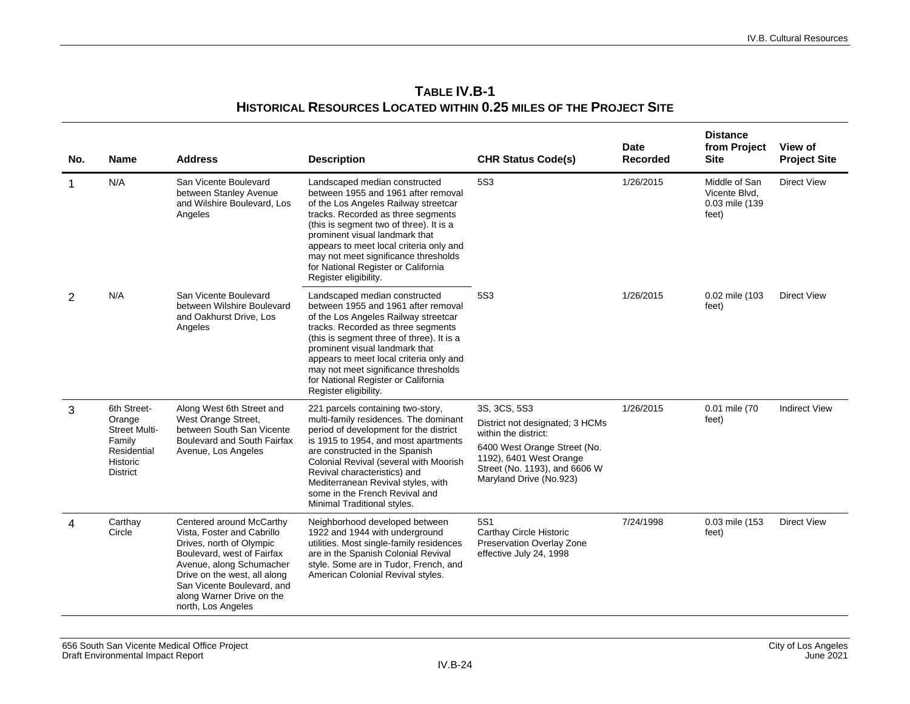| No.         | <b>Name</b>                                                                                           | <b>Address</b>                                                                                                                                                                                                                                                | <b>Description</b>                                                                                                                                                                                                                                                                                                                                                                   | <b>CHR Status Code(s)</b>                                                                                                                                                                      | <b>Date</b><br><b>Recorded</b> | <b>Distance</b><br>from Project<br><b>Site</b>            | View of<br><b>Project Site</b> |
|-------------|-------------------------------------------------------------------------------------------------------|---------------------------------------------------------------------------------------------------------------------------------------------------------------------------------------------------------------------------------------------------------------|--------------------------------------------------------------------------------------------------------------------------------------------------------------------------------------------------------------------------------------------------------------------------------------------------------------------------------------------------------------------------------------|------------------------------------------------------------------------------------------------------------------------------------------------------------------------------------------------|--------------------------------|-----------------------------------------------------------|--------------------------------|
| $\mathbf 1$ | N/A                                                                                                   | San Vicente Boulevard<br>between Stanley Avenue<br>and Wilshire Boulevard, Los<br>Angeles                                                                                                                                                                     | Landscaped median constructed<br>between 1955 and 1961 after removal<br>of the Los Angeles Railway streetcar<br>tracks. Recorded as three segments<br>(this is segment two of three). It is a<br>prominent visual landmark that<br>appears to meet local criteria only and<br>may not meet significance thresholds<br>for National Register or California<br>Register eligibility.   | 5S3                                                                                                                                                                                            | 1/26/2015                      | Middle of San<br>Vicente Blvd.<br>0.03 mile (139<br>feet) | <b>Direct View</b>             |
| 2           | N/A                                                                                                   | San Vicente Boulevard<br>between Wilshire Boulevard<br>and Oakhurst Drive, Los<br>Angeles                                                                                                                                                                     | Landscaped median constructed<br>between 1955 and 1961 after removal<br>of the Los Angeles Railway streetcar<br>tracks. Recorded as three segments<br>(this is segment three of three). It is a<br>prominent visual landmark that<br>appears to meet local criteria only and<br>may not meet significance thresholds<br>for National Register or California<br>Register eligibility. | 5S3                                                                                                                                                                                            | 1/26/2015                      | 0.02 mile (103<br>feet)                                   | <b>Direct View</b>             |
| 3           | 6th Street-<br>Orange<br><b>Street Multi-</b><br>Family<br>Residential<br>Historic<br><b>District</b> | Along West 6th Street and<br>West Orange Street,<br>between South San Vicente<br>Boulevard and South Fairfax<br>Avenue, Los Angeles                                                                                                                           | 221 parcels containing two-story,<br>multi-family residences. The dominant<br>period of development for the district<br>is 1915 to 1954, and most apartments<br>are constructed in the Spanish<br>Colonial Revival (several with Moorish<br>Revival characteristics) and<br>Mediterranean Revival styles, with<br>some in the French Revival and<br>Minimal Traditional styles.      | 3S, 3CS, 5S3<br>District not designated; 3 HCMs<br>within the district:<br>6400 West Orange Street (No.<br>1192), 6401 West Orange<br>Street (No. 1193), and 6606 W<br>Maryland Drive (No.923) | 1/26/2015                      | 0.01 mile (70<br>feet)                                    | <b>Indirect View</b>           |
| 4           | Carthay<br>Circle                                                                                     | Centered around McCarthy<br>Vista, Foster and Cabrillo<br>Drives, north of Olympic<br>Boulevard, west of Fairfax<br>Avenue, along Schumacher<br>Drive on the west, all along<br>San Vicente Boulevard, and<br>along Warner Drive on the<br>north, Los Angeles | Neighborhood developed between<br>1922 and 1944 with underground<br>utilities. Most single-family residences<br>are in the Spanish Colonial Revival<br>style. Some are in Tudor, French, and<br>American Colonial Revival styles.                                                                                                                                                    | 5S1<br>Carthay Circle Historic<br>Preservation Overlay Zone<br>effective July 24, 1998                                                                                                         | 7/24/1998                      | 0.03 mile (153<br>feet)                                   | <b>Direct View</b>             |

#### **TABLE IV.B-1 HISTORICAL RESOURCES LOCATED WITHIN 0.25 MILES OF THE PROJECT SITE**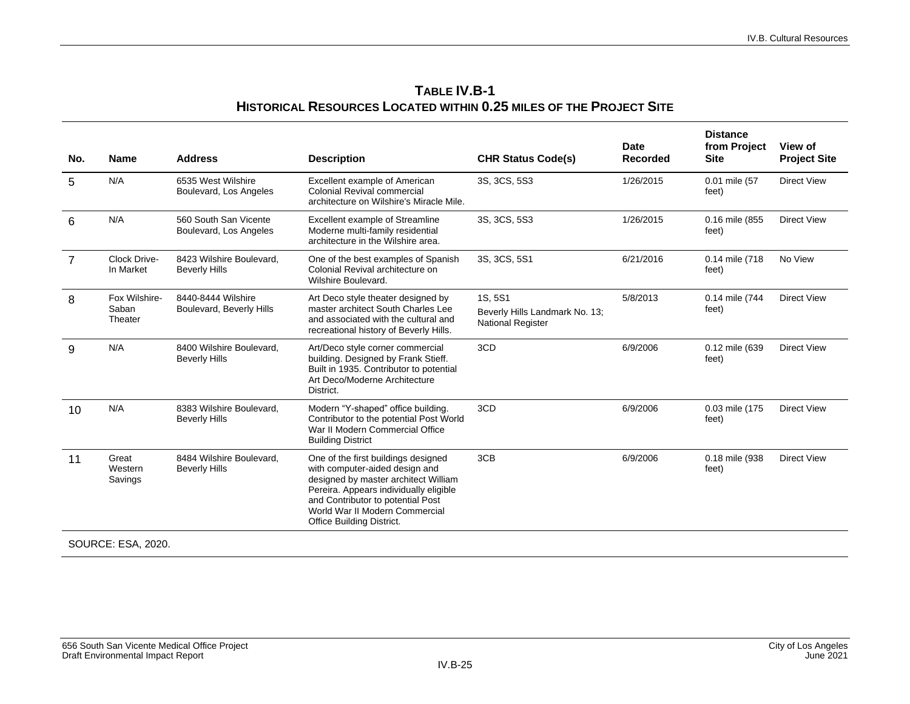| No.            | <b>Name</b>                       | <b>Address</b>                                   | <b>Description</b>                                                                                                                                                                                                                                          | <b>CHR Status Code(s)</b>                                             | <b>Date</b><br><b>Recorded</b> | <b>Distance</b><br>from Project<br><b>Site</b> | View of<br><b>Project Site</b> |
|----------------|-----------------------------------|--------------------------------------------------|-------------------------------------------------------------------------------------------------------------------------------------------------------------------------------------------------------------------------------------------------------------|-----------------------------------------------------------------------|--------------------------------|------------------------------------------------|--------------------------------|
| 5              | N/A                               | 6535 West Wilshire<br>Boulevard, Los Angeles     | Excellent example of American<br><b>Colonial Revival commercial</b><br>architecture on Wilshire's Miracle Mile.                                                                                                                                             | 3S, 3CS, 5S3                                                          | 1/26/2015                      | 0.01 mile (57<br>feet)                         | <b>Direct View</b>             |
| 6              | N/A                               | 560 South San Vicente<br>Boulevard, Los Angeles  | Excellent example of Streamline<br>Moderne multi-family residential<br>architecture in the Wilshire area.                                                                                                                                                   | 3S, 3CS, 5S3                                                          | 1/26/2015                      | 0.16 mile (855<br>feet)                        | <b>Direct View</b>             |
| $\overline{7}$ | Clock Drive-<br>In Market         | 8423 Wilshire Boulevard,<br><b>Beverly Hills</b> | One of the best examples of Spanish<br>Colonial Revival architecture on<br>Wilshire Boulevard.                                                                                                                                                              | 3S, 3CS, 5S1                                                          | 6/21/2016                      | 0.14 mile (718<br>feet)                        | No View                        |
| 8              | Fox Wilshire-<br>Saban<br>Theater | 8440-8444 Wilshire<br>Boulevard, Beverly Hills   | Art Deco style theater designed by<br>master architect South Charles Lee<br>and associated with the cultural and<br>recreational history of Beverly Hills.                                                                                                  | 1S, 5S1<br>Beverly Hills Landmark No. 13;<br><b>National Register</b> | 5/8/2013                       | 0.14 mile (744<br>feet)                        | <b>Direct View</b>             |
| 9              | N/A                               | 8400 Wilshire Boulevard.<br><b>Beverly Hills</b> | Art/Deco style corner commercial<br>building. Designed by Frank Stieff.<br>Built in 1935. Contributor to potential<br>Art Deco/Moderne Architecture<br>District.                                                                                            | 3CD                                                                   | 6/9/2006                       | 0.12 mile (639<br>feet)                        | <b>Direct View</b>             |
| 10             | N/A                               | 8383 Wilshire Boulevard.<br><b>Beverly Hills</b> | Modern "Y-shaped" office building.<br>Contributor to the potential Post World<br>War II Modern Commercial Office<br><b>Building District</b>                                                                                                                | 3CD                                                                   | 6/9/2006                       | 0.03 mile (175<br>feet)                        | <b>Direct View</b>             |
| 11             | Great<br>Western<br>Savings       | 8484 Wilshire Boulevard.<br><b>Beverly Hills</b> | One of the first buildings designed<br>with computer-aided design and<br>designed by master architect William<br>Pereira. Appears individually eligible<br>and Contributor to potential Post<br>World War II Modern Commercial<br>Office Building District. | 3CB                                                                   | 6/9/2006                       | 0.18 mile (938<br>feet)                        | <b>Direct View</b>             |
|                | <b>SOURCE: ESA, 2020.</b>         |                                                  |                                                                                                                                                                                                                                                             |                                                                       |                                |                                                |                                |

**TABLE IV.B-1 HISTORICAL RESOURCES LOCATED WITHIN 0.25 MILES OF THE PROJECT SITE**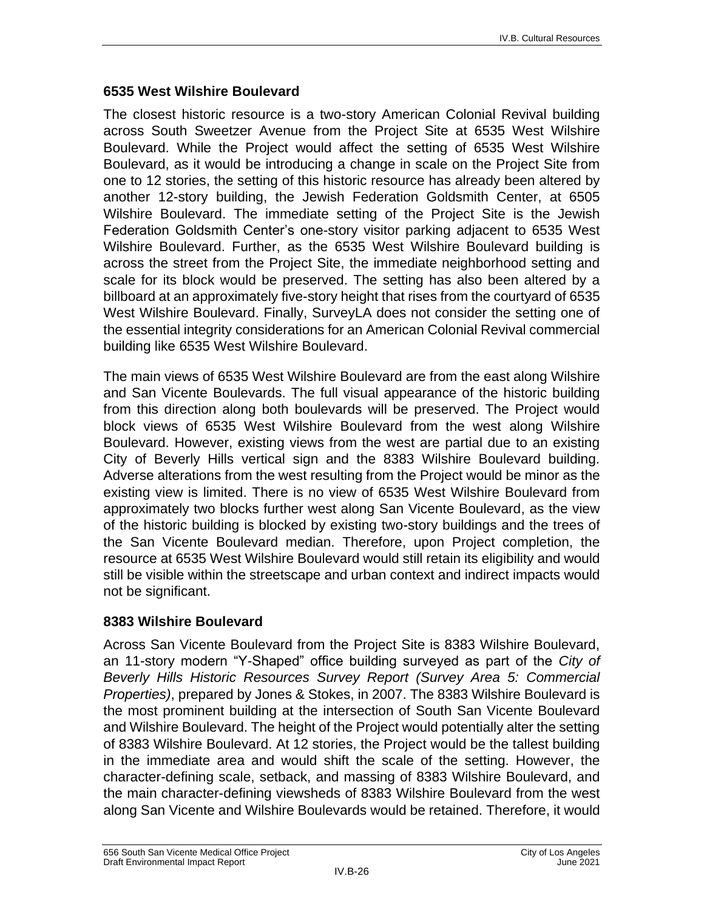#### **6535 West Wilshire Boulevard**

The closest historic resource is a two-story American Colonial Revival building across South Sweetzer Avenue from the Project Site at 6535 West Wilshire Boulevard. While the Project would affect the setting of 6535 West Wilshire Boulevard, as it would be introducing a change in scale on the Project Site from one to 12 stories, the setting of this historic resource has already been altered by another 12-story building, the Jewish Federation Goldsmith Center, at 6505 Wilshire Boulevard. The immediate setting of the Project Site is the Jewish Federation Goldsmith Center's one-story visitor parking adjacent to 6535 West Wilshire Boulevard. Further, as the 6535 West Wilshire Boulevard building is across the street from the Project Site, the immediate neighborhood setting and scale for its block would be preserved. The setting has also been altered by a billboard at an approximately five-story height that rises from the courtyard of 6535 West Wilshire Boulevard. Finally, SurveyLA does not consider the setting one of the essential integrity considerations for an American Colonial Revival commercial building like 6535 West Wilshire Boulevard.

The main views of 6535 West Wilshire Boulevard are from the east along Wilshire and San Vicente Boulevards. The full visual appearance of the historic building from this direction along both boulevards will be preserved. The Project would block views of 6535 West Wilshire Boulevard from the west along Wilshire Boulevard. However, existing views from the west are partial due to an existing City of Beverly Hills vertical sign and the 8383 Wilshire Boulevard building. Adverse alterations from the west resulting from the Project would be minor as the existing view is limited. There is no view of 6535 West Wilshire Boulevard from approximately two blocks further west along San Vicente Boulevard, as the view of the historic building is blocked by existing two-story buildings and the trees of the San Vicente Boulevard median. Therefore, upon Project completion, the resource at 6535 West Wilshire Boulevard would still retain its eligibility and would still be visible within the streetscape and urban context and indirect impacts would not be significant.

#### **8383 Wilshire Boulevard**

Across San Vicente Boulevard from the Project Site is 8383 Wilshire Boulevard, an 11-story modern "Y-Shaped" office building surveyed as part of the *City of Beverly Hills Historic Resources Survey Report (Survey Area 5: Commercial Properties)*, prepared by Jones & Stokes, in 2007. The 8383 Wilshire Boulevard is the most prominent building at the intersection of South San Vicente Boulevard and Wilshire Boulevard. The height of the Project would potentially alter the setting of 8383 Wilshire Boulevard. At 12 stories, the Project would be the tallest building in the immediate area and would shift the scale of the setting. However, the character-defining scale, setback, and massing of 8383 Wilshire Boulevard, and the main character-defining viewsheds of 8383 Wilshire Boulevard from the west along San Vicente and Wilshire Boulevards would be retained. Therefore, it would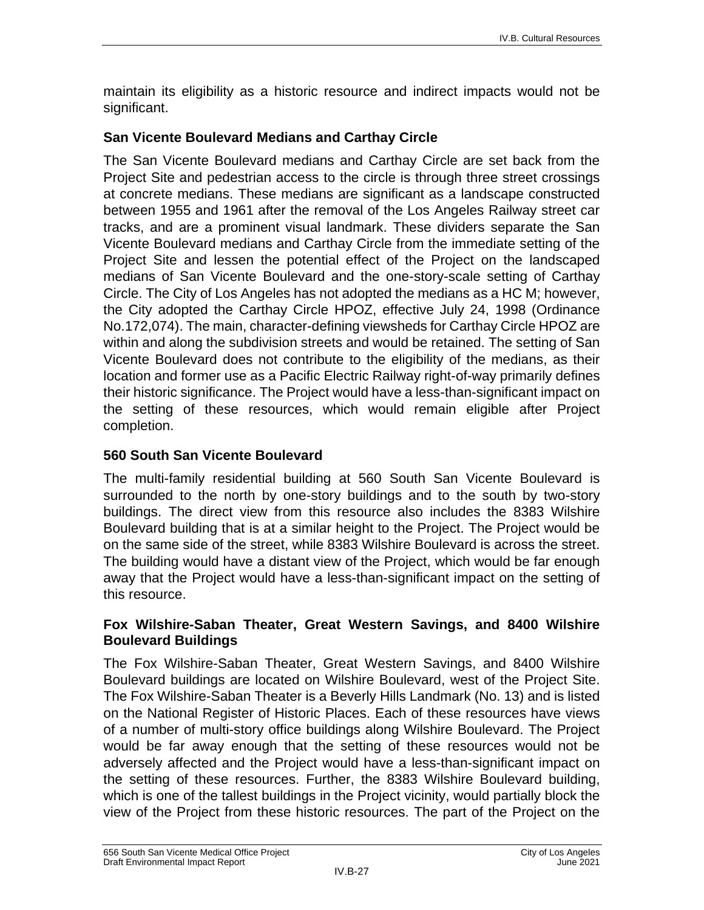maintain its eligibility as a historic resource and indirect impacts would not be significant.

#### **San Vicente Boulevard Medians and Carthay Circle**

The San Vicente Boulevard medians and Carthay Circle are set back from the Project Site and pedestrian access to the circle is through three street crossings at concrete medians. These medians are significant as a landscape constructed between 1955 and 1961 after the removal of the Los Angeles Railway street car tracks, and are a prominent visual landmark. These dividers separate the San Vicente Boulevard medians and Carthay Circle from the immediate setting of the Project Site and lessen the potential effect of the Project on the landscaped medians of San Vicente Boulevard and the one-story-scale setting of Carthay Circle. The City of Los Angeles has not adopted the medians as a HC M; however, the City adopted the Carthay Circle HPOZ, effective July 24, 1998 (Ordinance No.172,074). The main, character-defining viewsheds for Carthay Circle HPOZ are within and along the subdivision streets and would be retained. The setting of San Vicente Boulevard does not contribute to the eligibility of the medians, as their location and former use as a Pacific Electric Railway right-of-way primarily defines their historic significance. The Project would have a less-than-significant impact on the setting of these resources, which would remain eligible after Project completion.

#### **560 South San Vicente Boulevard**

The multi-family residential building at 560 South San Vicente Boulevard is surrounded to the north by one-story buildings and to the south by two-story buildings. The direct view from this resource also includes the 8383 Wilshire Boulevard building that is at a similar height to the Project. The Project would be on the same side of the street, while 8383 Wilshire Boulevard is across the street. The building would have a distant view of the Project, which would be far enough away that the Project would have a less-than-significant impact on the setting of this resource.

#### **Fox Wilshire-Saban Theater, Great Western Savings, and 8400 Wilshire Boulevard Buildings**

The Fox Wilshire-Saban Theater, Great Western Savings, and 8400 Wilshire Boulevard buildings are located on Wilshire Boulevard, west of the Project Site. The Fox Wilshire-Saban Theater is a Beverly Hills Landmark (No. 13) and is listed on the National Register of Historic Places. Each of these resources have views of a number of multi-story office buildings along Wilshire Boulevard. The Project would be far away enough that the setting of these resources would not be adversely affected and the Project would have a less-than-significant impact on the setting of these resources. Further, the 8383 Wilshire Boulevard building, which is one of the tallest buildings in the Project vicinity, would partially block the view of the Project from these historic resources. The part of the Project on the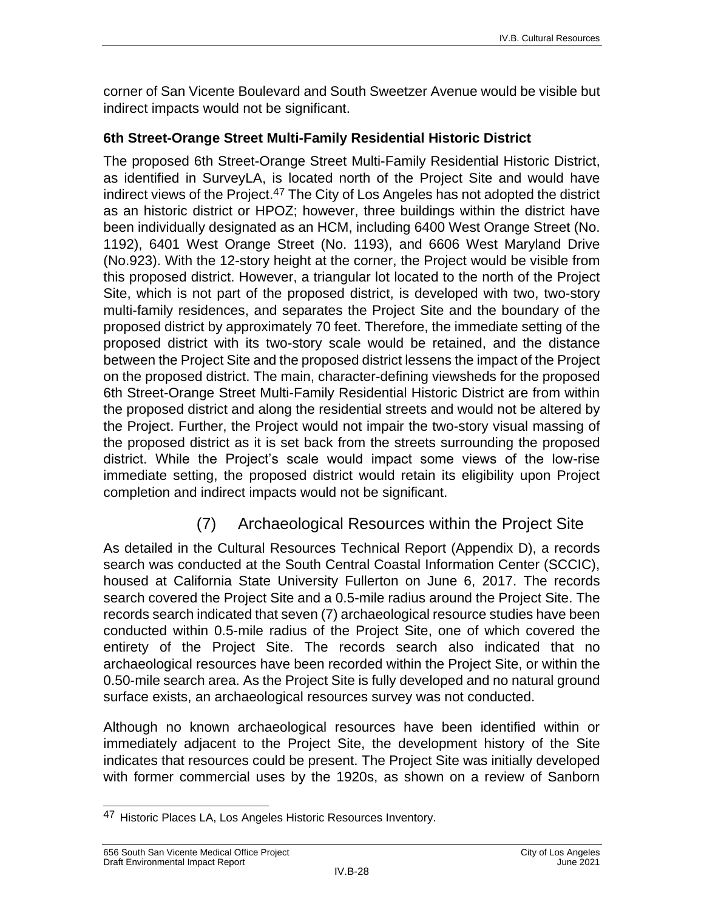corner of San Vicente Boulevard and South Sweetzer Avenue would be visible but indirect impacts would not be significant.

#### **6th Street-Orange Street Multi-Family Residential Historic District**

The proposed 6th Street-Orange Street Multi-Family Residential Historic District, as identified in SurveyLA, is located north of the Project Site and would have indirect views of the Project.47 The City of Los Angeles has not adopted the district as an historic district or HPOZ; however, three buildings within the district have been individually designated as an HCM, including 6400 West Orange Street (No. 1192), 6401 West Orange Street (No. 1193), and 6606 West Maryland Drive (No.923). With the 12-story height at the corner, the Project would be visible from this proposed district. However, a triangular lot located to the north of the Project Site, which is not part of the proposed district, is developed with two, two-story multi-family residences, and separates the Project Site and the boundary of the proposed district by approximately 70 feet. Therefore, the immediate setting of the proposed district with its two-story scale would be retained, and the distance between the Project Site and the proposed district lessens the impact of the Project on the proposed district. The main, character-defining viewsheds for the proposed 6th Street-Orange Street Multi-Family Residential Historic District are from within the proposed district and along the residential streets and would not be altered by the Project. Further, the Project would not impair the two-story visual massing of the proposed district as it is set back from the streets surrounding the proposed district. While the Project's scale would impact some views of the low-rise immediate setting, the proposed district would retain its eligibility upon Project completion and indirect impacts would not be significant.

## (7) Archaeological Resources within the Project Site

As detailed in the Cultural Resources Technical Report (Appendix D), a records search was conducted at the South Central Coastal Information Center (SCCIC), housed at California State University Fullerton on June 6, 2017. The records search covered the Project Site and a 0.5-mile radius around the Project Site. The records search indicated that seven (7) archaeological resource studies have been conducted within 0.5-mile radius of the Project Site, one of which covered the entirety of the Project Site. The records search also indicated that no archaeological resources have been recorded within the Project Site, or within the 0.50-mile search area. As the Project Site is fully developed and no natural ground surface exists, an archaeological resources survey was not conducted.

Although no known archaeological resources have been identified within or immediately adjacent to the Project Site, the development history of the Site indicates that resources could be present. The Project Site was initially developed with former commercial uses by the 1920s, as shown on a review of Sanborn

 $\overline{\phantom{a}}$ 47 Historic Places LA, Los Angeles Historic Resources Inventory.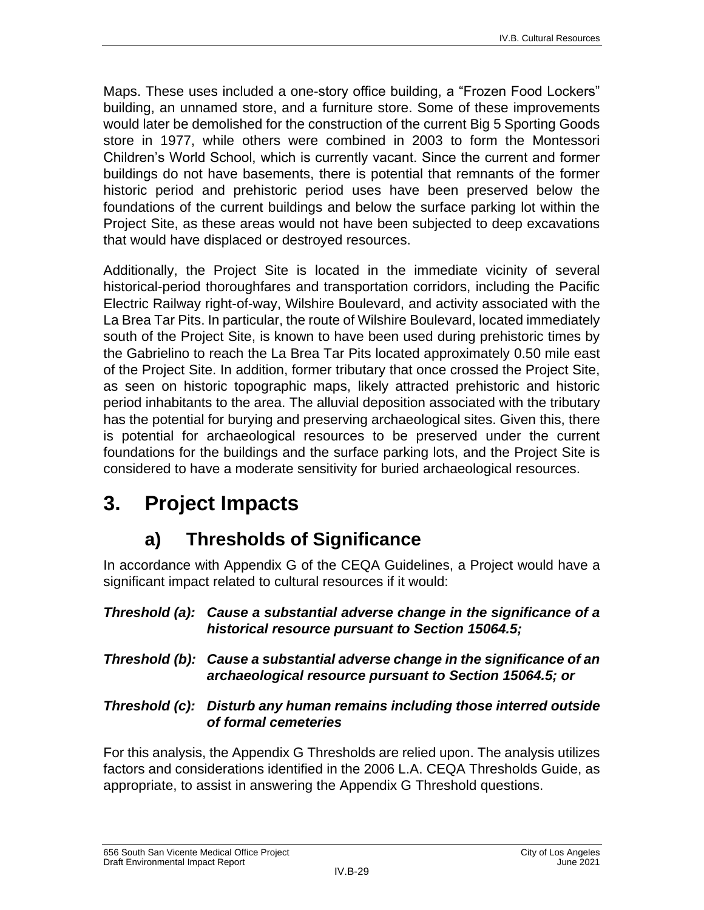Maps. These uses included a one-story office building, a "Frozen Food Lockers" building, an unnamed store, and a furniture store. Some of these improvements would later be demolished for the construction of the current Big 5 Sporting Goods store in 1977, while others were combined in 2003 to form the Montessori Children's World School, which is currently vacant. Since the current and former buildings do not have basements, there is potential that remnants of the former historic period and prehistoric period uses have been preserved below the foundations of the current buildings and below the surface parking lot within the Project Site, as these areas would not have been subjected to deep excavations that would have displaced or destroyed resources.

Additionally, the Project Site is located in the immediate vicinity of several historical-period thoroughfares and transportation corridors, including the Pacific Electric Railway right-of-way, Wilshire Boulevard, and activity associated with the La Brea Tar Pits. In particular, the route of Wilshire Boulevard, located immediately south of the Project Site, is known to have been used during prehistoric times by the Gabrielino to reach the La Brea Tar Pits located approximately 0.50 mile east of the Project Site. In addition, former tributary that once crossed the Project Site, as seen on historic topographic maps, likely attracted prehistoric and historic period inhabitants to the area. The alluvial deposition associated with the tributary has the potential for burying and preserving archaeological sites. Given this, there is potential for archaeological resources to be preserved under the current foundations for the buildings and the surface parking lots, and the Project Site is considered to have a moderate sensitivity for buried archaeological resources.

# **3. Project Impacts**

## **a) Thresholds of Significance**

In accordance with Appendix G of the CEQA Guidelines, a Project would have a significant impact related to cultural resources if it would:

#### *Threshold (a): Cause a substantial adverse change in the significance of a historical resource pursuant to Section 15064.5;*

*Threshold (b): Cause a substantial adverse change in the significance of an archaeological resource pursuant to Section 15064.5; or*

#### *Threshold (c): Disturb any human remains including those interred outside of formal cemeteries*

For this analysis, the Appendix G Thresholds are relied upon. The analysis utilizes factors and considerations identified in the 2006 L.A. CEQA Thresholds Guide, as appropriate, to assist in answering the Appendix G Threshold questions.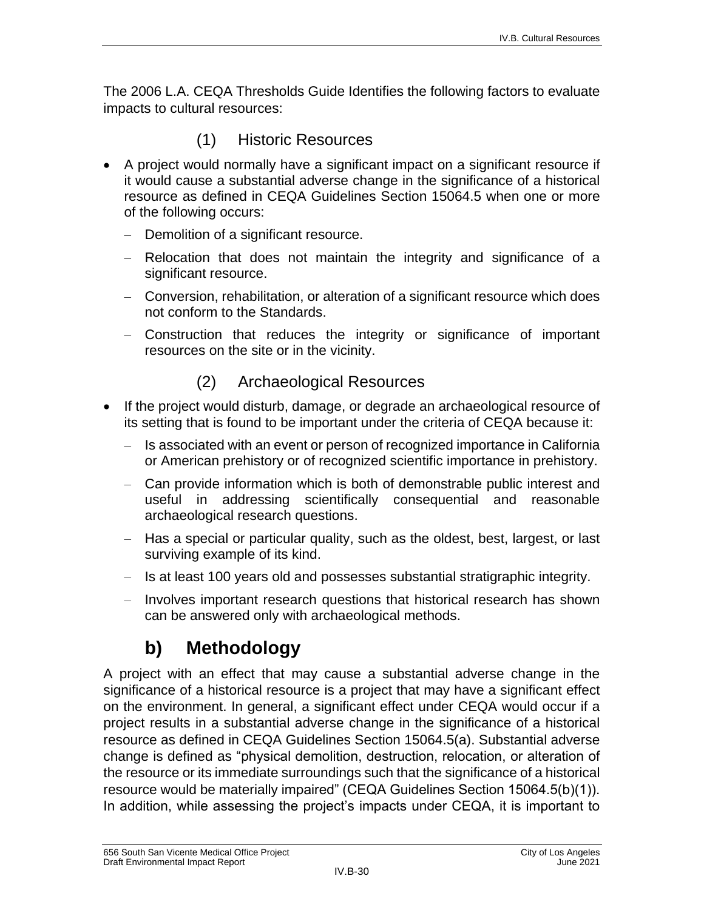The 2006 L.A. CEQA Thresholds Guide Identifies the following factors to evaluate impacts to cultural resources:

### (1) Historic Resources

- A project would normally have a significant impact on a significant resource if it would cause a substantial adverse change in the significance of a historical resource as defined in CEQA Guidelines Section 15064.5 when one or more of the following occurs:
	- Demolition of a significant resource.
	- Relocation that does not maintain the integrity and significance of a significant resource.
	- Conversion, rehabilitation, or alteration of a significant resource which does not conform to the Standards.
	- Construction that reduces the integrity or significance of important resources on the site or in the vicinity.

## (2) Archaeological Resources

- If the project would disturb, damage, or degrade an archaeological resource of its setting that is found to be important under the criteria of CEQA because it:
	- Is associated with an event or person of recognized importance in California or American prehistory or of recognized scientific importance in prehistory.
	- Can provide information which is both of demonstrable public interest and useful in addressing scientifically consequential and reasonable archaeological research questions.
	- Has a special or particular quality, such as the oldest, best, largest, or last surviving example of its kind.
	- Is at least 100 years old and possesses substantial stratigraphic integrity.
	- Involves important research questions that historical research has shown can be answered only with archaeological methods.

## **b) Methodology**

A project with an effect that may cause a substantial adverse change in the significance of a historical resource is a project that may have a significant effect on the environment. In general, a significant effect under CEQA would occur if a project results in a substantial adverse change in the significance of a historical resource as defined in CEQA Guidelines Section 15064.5(a). Substantial adverse change is defined as "physical demolition, destruction, relocation, or alteration of the resource or its immediate surroundings such that the significance of a historical resource would be materially impaired" (CEQA Guidelines Section 15064.5(b)(1)). In addition, while assessing the project's impacts under CEQA, it is important to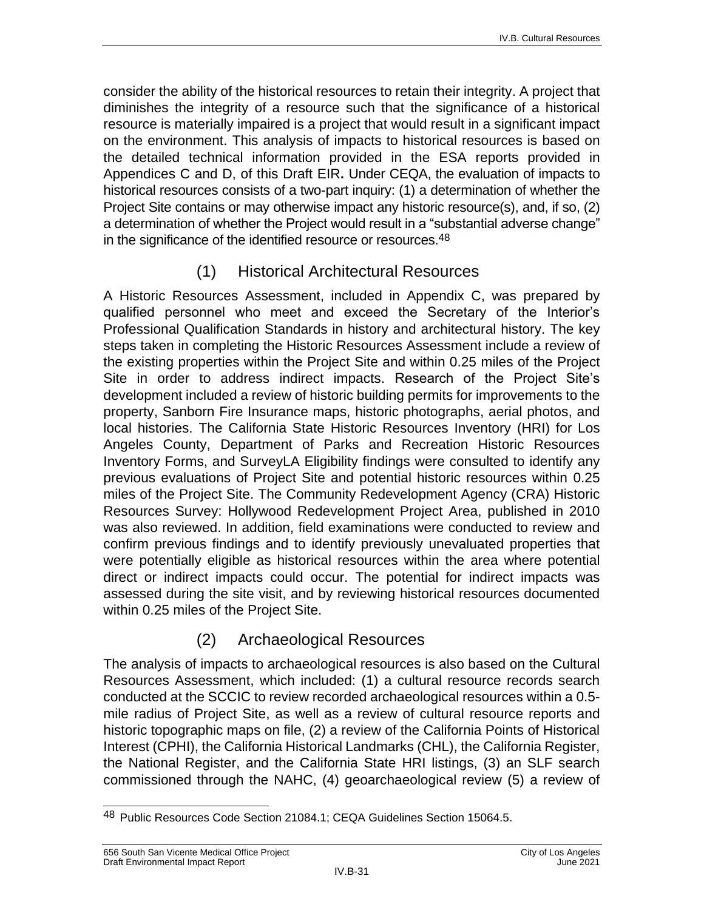consider the ability of the historical resources to retain their integrity. A project that diminishes the integrity of a resource such that the significance of a historical resource is materially impaired is a project that would result in a significant impact on the environment. This analysis of impacts to historical resources is based on the detailed technical information provided in the ESA reports provided in Appendices C and D, of this Draft EIR**.** Under CEQA, the evaluation of impacts to historical resources consists of a two-part inquiry: (1) a determination of whether the Project Site contains or may otherwise impact any historic resource(s), and, if so, (2) a determination of whether the Project would result in a "substantial adverse change" in the significance of the identified resource or resources.<sup>48</sup>

## (1) Historical Architectural Resources

A Historic Resources Assessment, included in Appendix C, was prepared by qualified personnel who meet and exceed the Secretary of the Interior's Professional Qualification Standards in history and architectural history. The key steps taken in completing the Historic Resources Assessment include a review of the existing properties within the Project Site and within 0.25 miles of the Project Site in order to address indirect impacts. Research of the Project Site's development included a review of historic building permits for improvements to the property, Sanborn Fire Insurance maps, historic photographs, aerial photos, and local histories. The California State Historic Resources Inventory (HRI) for Los Angeles County, Department of Parks and Recreation Historic Resources Inventory Forms, and SurveyLA Eligibility findings were consulted to identify any previous evaluations of Project Site and potential historic resources within 0.25 miles of the Project Site. The Community Redevelopment Agency (CRA) Historic Resources Survey: Hollywood Redevelopment Project Area, published in 2010 was also reviewed. In addition, field examinations were conducted to review and confirm previous findings and to identify previously unevaluated properties that were potentially eligible as historical resources within the area where potential direct or indirect impacts could occur. The potential for indirect impacts was assessed during the site visit, and by reviewing historical resources documented within 0.25 miles of the Project Site.

## (2) Archaeological Resources

The analysis of impacts to archaeological resources is also based on the Cultural Resources Assessment, which included: (1) a cultural resource records search conducted at the SCCIC to review recorded archaeological resources within a 0.5 mile radius of Project Site, as well as a review of cultural resource reports and historic topographic maps on file, (2) a review of the California Points of Historical Interest (CPHI), the California Historical Landmarks (CHL), the California Register, the National Register, and the California State HRI listings, (3) an SLF search commissioned through the NAHC, (4) geoarchaeological review (5) a review of

 $\overline{\phantom{a}}$ 48 Public Resources Code Section 21084.1; CEQA Guidelines Section 15064.5.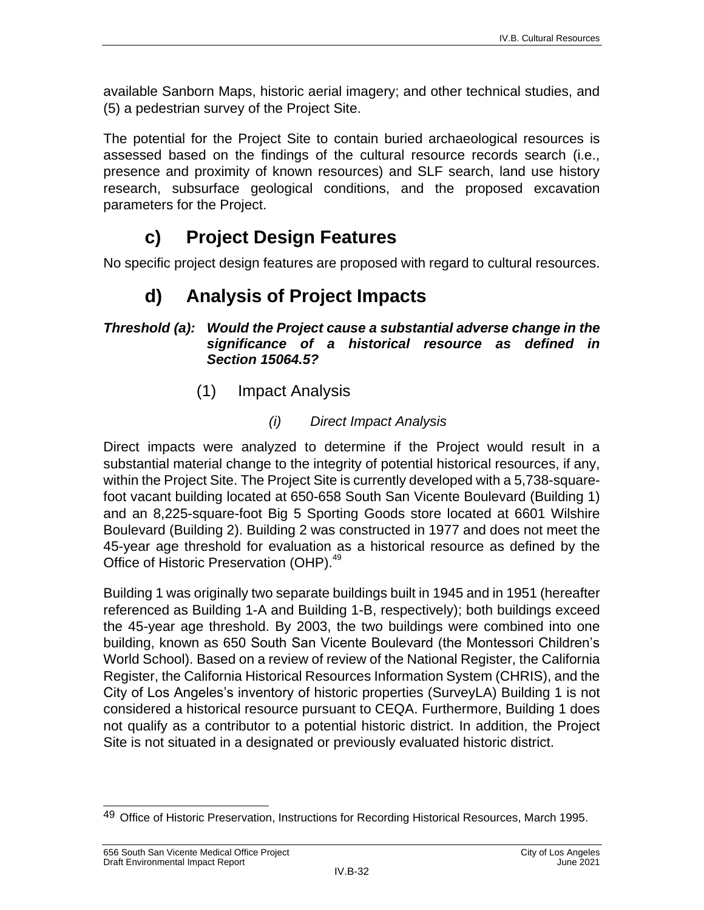available Sanborn Maps, historic aerial imagery; and other technical studies, and (5) a pedestrian survey of the Project Site.

The potential for the Project Site to contain buried archaeological resources is assessed based on the findings of the cultural resource records search (i.e., presence and proximity of known resources) and SLF search, land use history research, subsurface geological conditions, and the proposed excavation parameters for the Project.

## **c) Project Design Features**

No specific project design features are proposed with regard to cultural resources.

## **d) Analysis of Project Impacts**

#### *Threshold (a): Would the Project cause a substantial adverse change in the significance of a historical resource as defined in Section 15064.5?*

(1) Impact Analysis

### *(i) Direct Impact Analysis*

Direct impacts were analyzed to determine if the Project would result in a substantial material change to the integrity of potential historical resources, if any, within the Project Site. The Project Site is currently developed with a 5,738-squarefoot vacant building located at 650-658 South San Vicente Boulevard (Building 1) and an 8,225-square-foot Big 5 Sporting Goods store located at 6601 Wilshire Boulevard (Building 2). Building 2 was constructed in 1977 and does not meet the 45-year age threshold for evaluation as a historical resource as defined by the Office of Historic Preservation (OHP).<sup>49</sup>

Building 1 was originally two separate buildings built in 1945 and in 1951 (hereafter referenced as Building 1-A and Building 1-B, respectively); both buildings exceed the 45-year age threshold. By 2003, the two buildings were combined into one building, known as 650 South San Vicente Boulevard (the Montessori Children's World School). Based on a review of review of the National Register, the California Register, the California Historical Resources Information System (CHRIS), and the City of Los Angeles's inventory of historic properties (SurveyLA) Building 1 is not considered a historical resource pursuant to CEQA. Furthermore, Building 1 does not qualify as a contributor to a potential historic district. In addition, the Project Site is not situated in a designated or previously evaluated historic district.

 $\overline{\phantom{a}}$ 49 Office of Historic Preservation, Instructions for Recording Historical Resources, March 1995.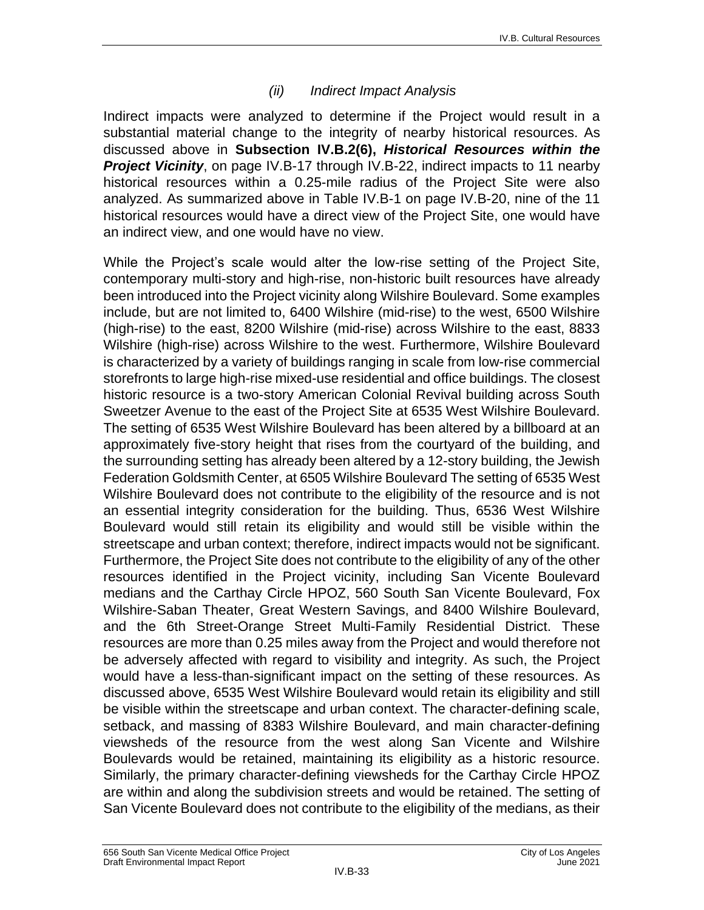#### *(ii) Indirect Impact Analysis*

Indirect impacts were analyzed to determine if the Project would result in a substantial material change to the integrity of nearby historical resources. As discussed above in **Subsection IV.B.2(6),** *Historical Resources within the*  **Project Vicinity**, on page IV.B-17 through IV.B-22, indirect impacts to 11 nearby historical resources within a 0.25-mile radius of the Project Site were also analyzed. As summarized above in Table IV.B-1 on page IV.B-20, nine of the 11 historical resources would have a direct view of the Project Site, one would have an indirect view, and one would have no view.

While the Project's scale would alter the low-rise setting of the Project Site, contemporary multi-story and high-rise, non-historic built resources have already been introduced into the Project vicinity along Wilshire Boulevard. Some examples include, but are not limited to, 6400 Wilshire (mid-rise) to the west, 6500 Wilshire (high-rise) to the east, 8200 Wilshire (mid-rise) across Wilshire to the east, 8833 Wilshire (high-rise) across Wilshire to the west. Furthermore, Wilshire Boulevard is characterized by a variety of buildings ranging in scale from low-rise commercial storefronts to large high-rise mixed-use residential and office buildings. The closest historic resource is a two-story American Colonial Revival building across South Sweetzer Avenue to the east of the Project Site at 6535 West Wilshire Boulevard. The setting of 6535 West Wilshire Boulevard has been altered by a billboard at an approximately five-story height that rises from the courtyard of the building, and the surrounding setting has already been altered by a 12-story building, the Jewish Federation Goldsmith Center, at 6505 Wilshire Boulevard The setting of 6535 West Wilshire Boulevard does not contribute to the eligibility of the resource and is not an essential integrity consideration for the building. Thus, 6536 West Wilshire Boulevard would still retain its eligibility and would still be visible within the streetscape and urban context; therefore, indirect impacts would not be significant. Furthermore, the Project Site does not contribute to the eligibility of any of the other resources identified in the Project vicinity, including San Vicente Boulevard medians and the Carthay Circle HPOZ, 560 South San Vicente Boulevard, Fox Wilshire-Saban Theater, Great Western Savings, and 8400 Wilshire Boulevard, and the 6th Street-Orange Street Multi-Family Residential District. These resources are more than 0.25 miles away from the Project and would therefore not be adversely affected with regard to visibility and integrity. As such, the Project would have a less-than-significant impact on the setting of these resources. As discussed above, 6535 West Wilshire Boulevard would retain its eligibility and still be visible within the streetscape and urban context. The character-defining scale, setback, and massing of 8383 Wilshire Boulevard, and main character-defining viewsheds of the resource from the west along San Vicente and Wilshire Boulevards would be retained, maintaining its eligibility as a historic resource. Similarly, the primary character-defining viewsheds for the Carthay Circle HPOZ are within and along the subdivision streets and would be retained. The setting of San Vicente Boulevard does not contribute to the eligibility of the medians, as their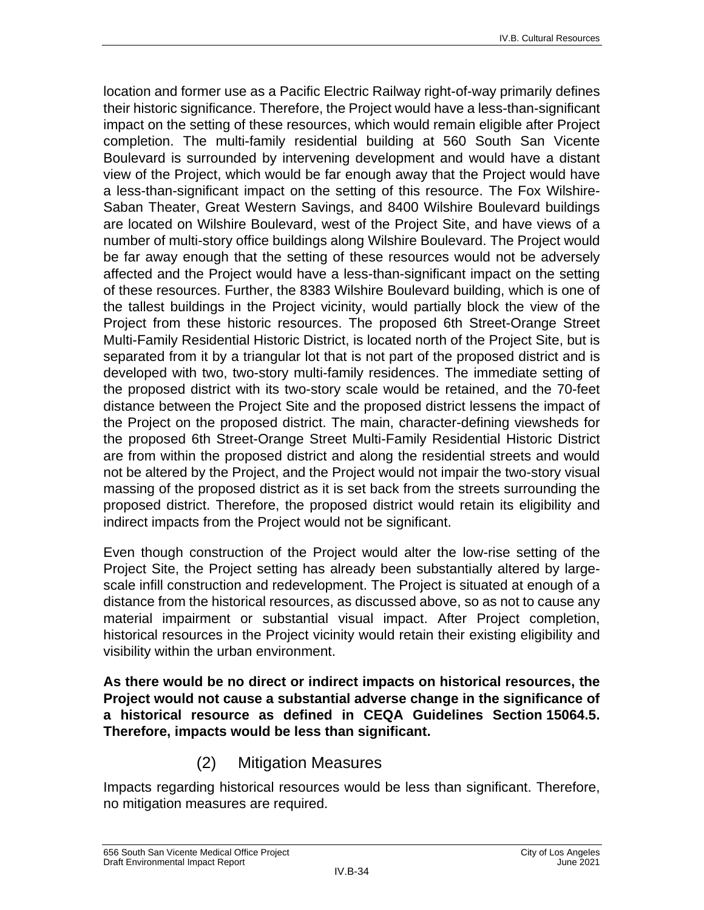location and former use as a Pacific Electric Railway right-of-way primarily defines their historic significance. Therefore, the Project would have a less-than-significant impact on the setting of these resources, which would remain eligible after Project completion. The multi-family residential building at 560 South San Vicente Boulevard is surrounded by intervening development and would have a distant view of the Project, which would be far enough away that the Project would have a less-than-significant impact on the setting of this resource. The Fox Wilshire-Saban Theater, Great Western Savings, and 8400 Wilshire Boulevard buildings are located on Wilshire Boulevard, west of the Project Site, and have views of a number of multi-story office buildings along Wilshire Boulevard. The Project would be far away enough that the setting of these resources would not be adversely affected and the Project would have a less-than-significant impact on the setting of these resources. Further, the 8383 Wilshire Boulevard building, which is one of the tallest buildings in the Project vicinity, would partially block the view of the Project from these historic resources. The proposed 6th Street-Orange Street Multi-Family Residential Historic District, is located north of the Project Site, but is separated from it by a triangular lot that is not part of the proposed district and is developed with two, two-story multi-family residences. The immediate setting of the proposed district with its two-story scale would be retained, and the 70-feet distance between the Project Site and the proposed district lessens the impact of the Project on the proposed district. The main, character-defining viewsheds for the proposed 6th Street-Orange Street Multi-Family Residential Historic District are from within the proposed district and along the residential streets and would not be altered by the Project, and the Project would not impair the two-story visual massing of the proposed district as it is set back from the streets surrounding the proposed district. Therefore, the proposed district would retain its eligibility and indirect impacts from the Project would not be significant.

Even though construction of the Project would alter the low-rise setting of the Project Site, the Project setting has already been substantially altered by largescale infill construction and redevelopment. The Project is situated at enough of a distance from the historical resources, as discussed above, so as not to cause any material impairment or substantial visual impact. After Project completion, historical resources in the Project vicinity would retain their existing eligibility and visibility within the urban environment.

**As there would be no direct or indirect impacts on historical resources, the Project would not cause a substantial adverse change in the significance of a historical resource as defined in CEQA Guidelines Section 15064.5. Therefore, impacts would be less than significant.**

## (2) Mitigation Measures

Impacts regarding historical resources would be less than significant. Therefore, no mitigation measures are required.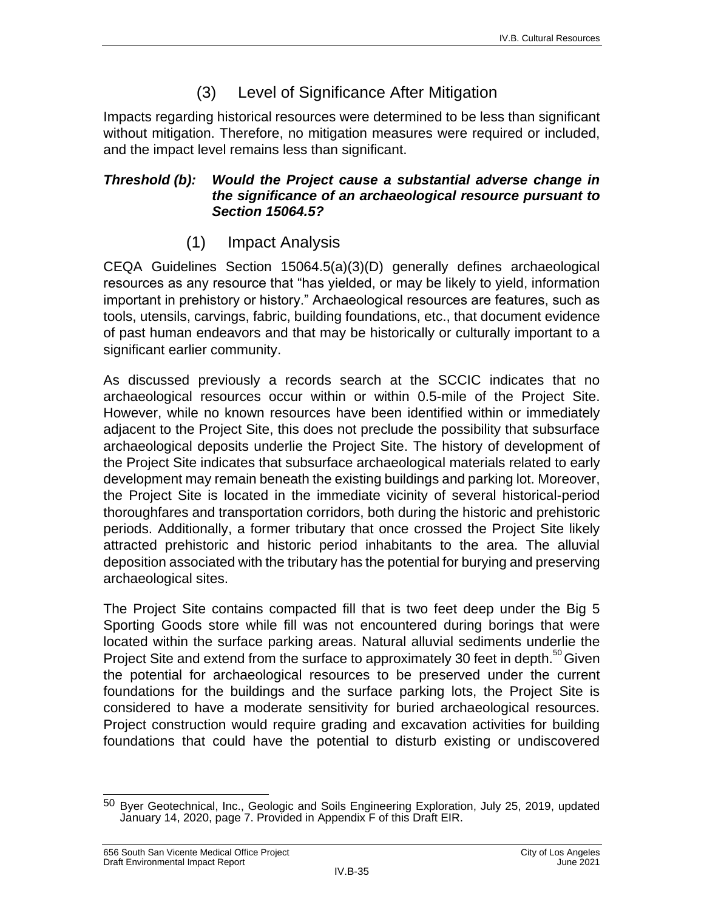## (3) Level of Significance After Mitigation

Impacts regarding historical resources were determined to be less than significant without mitigation. Therefore, no mitigation measures were required or included, and the impact level remains less than significant.

#### *Threshold (b): Would the Project cause a substantial adverse change in the significance of an archaeological resource pursuant to Section 15064.5?*

## (1) Impact Analysis

CEQA Guidelines Section 15064.5(a)(3)(D) generally defines archaeological resources as any resource that "has yielded, or may be likely to yield, information important in prehistory or history." Archaeological resources are features, such as tools, utensils, carvings, fabric, building foundations, etc., that document evidence of past human endeavors and that may be historically or culturally important to a significant earlier community.

As discussed previously a records search at the SCCIC indicates that no archaeological resources occur within or within 0.5-mile of the Project Site. However, while no known resources have been identified within or immediately adjacent to the Project Site, this does not preclude the possibility that subsurface archaeological deposits underlie the Project Site. The history of development of the Project Site indicates that subsurface archaeological materials related to early development may remain beneath the existing buildings and parking lot. Moreover, the Project Site is located in the immediate vicinity of several historical-period thoroughfares and transportation corridors, both during the historic and prehistoric periods. Additionally, a former tributary that once crossed the Project Site likely attracted prehistoric and historic period inhabitants to the area. The alluvial deposition associated with the tributary has the potential for burying and preserving archaeological sites.

The Project Site contains compacted fill that is two feet deep under the Big 5 Sporting Goods store while fill was not encountered during borings that were located within the surface parking areas. Natural alluvial sediments underlie the Project Site and extend from the surface to approximately 30 feet in depth.<sup>50</sup>Given the potential for archaeological resources to be preserved under the current foundations for the buildings and the surface parking lots, the Project Site is considered to have a moderate sensitivity for buried archaeological resources. Project construction would require grading and excavation activities for building foundations that could have the potential to disturb existing or undiscovered

 $\overline{a}$ <sup>50</sup> Byer Geotechnical, Inc., Geologic and Soils Engineering Exploration, July 25, 2019, updated January 14, 2020, page 7. Provided in Appendix F of this Draft EIR.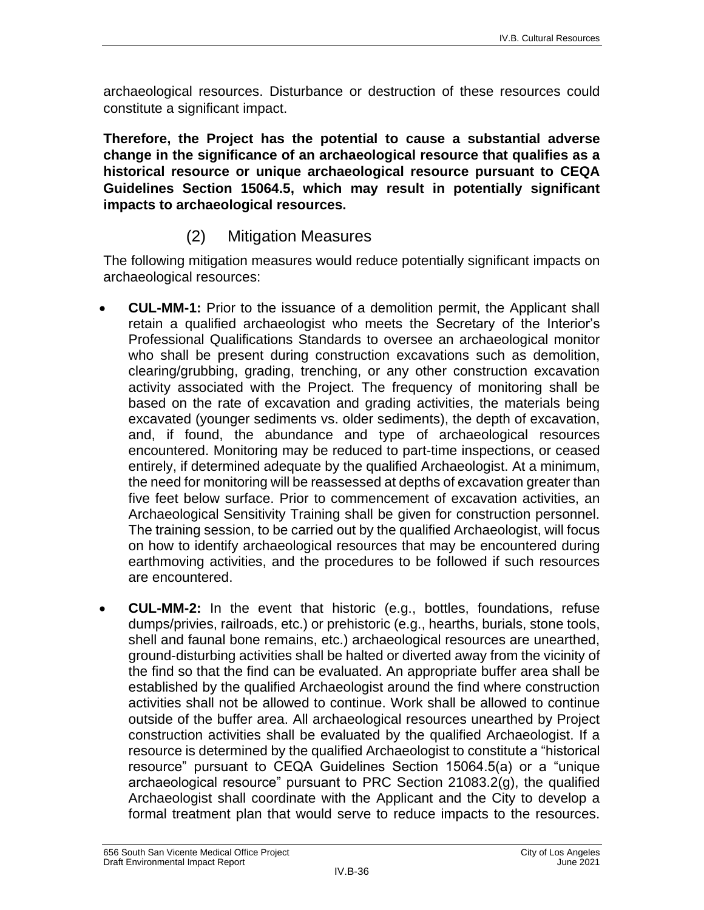archaeological resources. Disturbance or destruction of these resources could constitute a significant impact.

**Therefore, the Project has the potential to cause a substantial adverse change in the significance of an archaeological resource that qualifies as a historical resource or unique archaeological resource pursuant to CEQA Guidelines Section 15064.5, which may result in potentially significant impacts to archaeological resources.**

## (2) Mitigation Measures

The following mitigation measures would reduce potentially significant impacts on archaeological resources:

- **CUL-MM-1:** Prior to the issuance of a demolition permit, the Applicant shall retain a qualified archaeologist who meets the Secretary of the Interior's Professional Qualifications Standards to oversee an archaeological monitor who shall be present during construction excavations such as demolition, clearing/grubbing, grading, trenching, or any other construction excavation activity associated with the Project. The frequency of monitoring shall be based on the rate of excavation and grading activities, the materials being excavated (younger sediments vs. older sediments), the depth of excavation, and, if found, the abundance and type of archaeological resources encountered. Monitoring may be reduced to part-time inspections, or ceased entirely, if determined adequate by the qualified Archaeologist. At a minimum, the need for monitoring will be reassessed at depths of excavation greater than five feet below surface. Prior to commencement of excavation activities, an Archaeological Sensitivity Training shall be given for construction personnel. The training session, to be carried out by the qualified Archaeologist, will focus on how to identify archaeological resources that may be encountered during earthmoving activities, and the procedures to be followed if such resources are encountered.
- **CUL-MM-2:** In the event that historic (e.g., bottles, foundations, refuse dumps/privies, railroads, etc.) or prehistoric (e.g., hearths, burials, stone tools, shell and faunal bone remains, etc.) archaeological resources are unearthed, ground-disturbing activities shall be halted or diverted away from the vicinity of the find so that the find can be evaluated. An appropriate buffer area shall be established by the qualified Archaeologist around the find where construction activities shall not be allowed to continue. Work shall be allowed to continue outside of the buffer area. All archaeological resources unearthed by Project construction activities shall be evaluated by the qualified Archaeologist. If a resource is determined by the qualified Archaeologist to constitute a "historical resource" pursuant to CEQA Guidelines Section 15064.5(a) or a "unique archaeological resource" pursuant to PRC Section 21083.2(g), the qualified Archaeologist shall coordinate with the Applicant and the City to develop a formal treatment plan that would serve to reduce impacts to the resources.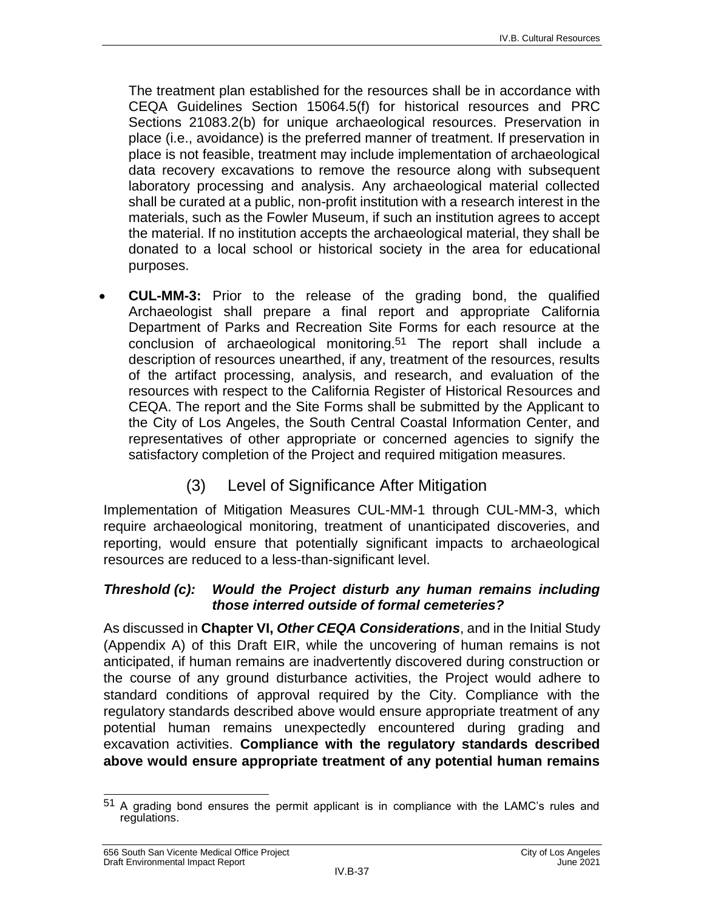The treatment plan established for the resources shall be in accordance with CEQA Guidelines Section 15064.5(f) for historical resources and PRC Sections 21083.2(b) for unique archaeological resources. Preservation in place (i.e., avoidance) is the preferred manner of treatment. If preservation in place is not feasible, treatment may include implementation of archaeological data recovery excavations to remove the resource along with subsequent laboratory processing and analysis. Any archaeological material collected shall be curated at a public, non-profit institution with a research interest in the materials, such as the Fowler Museum, if such an institution agrees to accept the material. If no institution accepts the archaeological material, they shall be donated to a local school or historical society in the area for educational purposes.

 **CUL-MM-3:** Prior to the release of the grading bond, the qualified Archaeologist shall prepare a final report and appropriate California Department of Parks and Recreation Site Forms for each resource at the conclusion of archaeological monitoring.51 The report shall include a description of resources unearthed, if any, treatment of the resources, results of the artifact processing, analysis, and research, and evaluation of the resources with respect to the California Register of Historical Resources and CEQA. The report and the Site Forms shall be submitted by the Applicant to the City of Los Angeles, the South Central Coastal Information Center, and representatives of other appropriate or concerned agencies to signify the satisfactory completion of the Project and required mitigation measures.

### (3) Level of Significance After Mitigation

Implementation of Mitigation Measures CUL-MM-1 through CUL-MM-3, which require archaeological monitoring, treatment of unanticipated discoveries, and reporting, would ensure that potentially significant impacts to archaeological resources are reduced to a less-than-significant level.

#### *Threshold (c): Would the Project disturb any human remains including those interred outside of formal cemeteries?*

As discussed in **Chapter VI,** *Other CEQA Considerations*, and in the Initial Study (Appendix A) of this Draft EIR, while the uncovering of human remains is not anticipated, if human remains are inadvertently discovered during construction or the course of any ground disturbance activities, the Project would adhere to standard conditions of approval required by the City. Compliance with the regulatory standards described above would ensure appropriate treatment of any potential human remains unexpectedly encountered during grading and excavation activities. **Compliance with the regulatory standards described above would ensure appropriate treatment of any potential human remains** 

 $\overline{a}$  $51$  A grading bond ensures the permit applicant is in compliance with the LAMC's rules and regulations.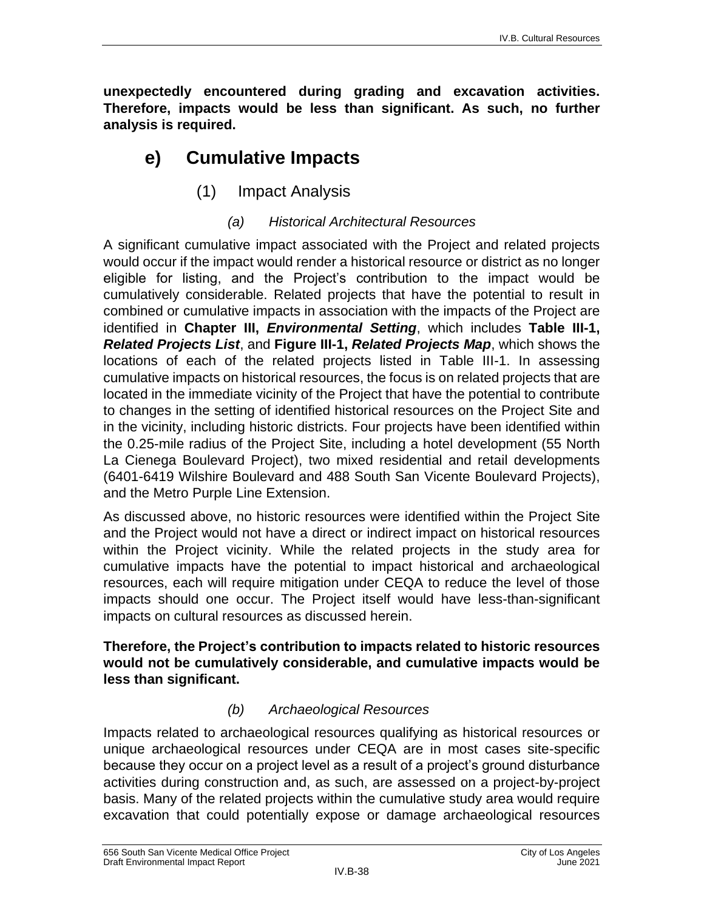**unexpectedly encountered during grading and excavation activities. Therefore, impacts would be less than significant. As such, no further analysis is required.**

## **e) Cumulative Impacts**

(1) Impact Analysis

#### *(a) Historical Architectural Resources*

A significant cumulative impact associated with the Project and related projects would occur if the impact would render a historical resource or district as no longer eligible for listing, and the Project's contribution to the impact would be cumulatively considerable. Related projects that have the potential to result in combined or cumulative impacts in association with the impacts of the Project are identified in **Chapter III,** *Environmental Setting*, which includes **Table III-1,**  *Related Projects List*, and **Figure III-1,** *Related Projects Map*, which shows the locations of each of the related projects listed in Table III-1. In assessing cumulative impacts on historical resources, the focus is on related projects that are located in the immediate vicinity of the Project that have the potential to contribute to changes in the setting of identified historical resources on the Project Site and in the vicinity, including historic districts. Four projects have been identified within the 0.25-mile radius of the Project Site, including a hotel development (55 North La Cienega Boulevard Project), two mixed residential and retail developments (6401-6419 Wilshire Boulevard and 488 South San Vicente Boulevard Projects), and the Metro Purple Line Extension.

As discussed above, no historic resources were identified within the Project Site and the Project would not have a direct or indirect impact on historical resources within the Project vicinity. While the related projects in the study area for cumulative impacts have the potential to impact historical and archaeological resources, each will require mitigation under CEQA to reduce the level of those impacts should one occur. The Project itself would have less-than-significant impacts on cultural resources as discussed herein.

#### **Therefore, the Project's contribution to impacts related to historic resources would not be cumulatively considerable, and cumulative impacts would be less than significant.**

#### *(b) Archaeological Resources*

Impacts related to archaeological resources qualifying as historical resources or unique archaeological resources under CEQA are in most cases site-specific because they occur on a project level as a result of a project's ground disturbance activities during construction and, as such, are assessed on a project-by-project basis. Many of the related projects within the cumulative study area would require excavation that could potentially expose or damage archaeological resources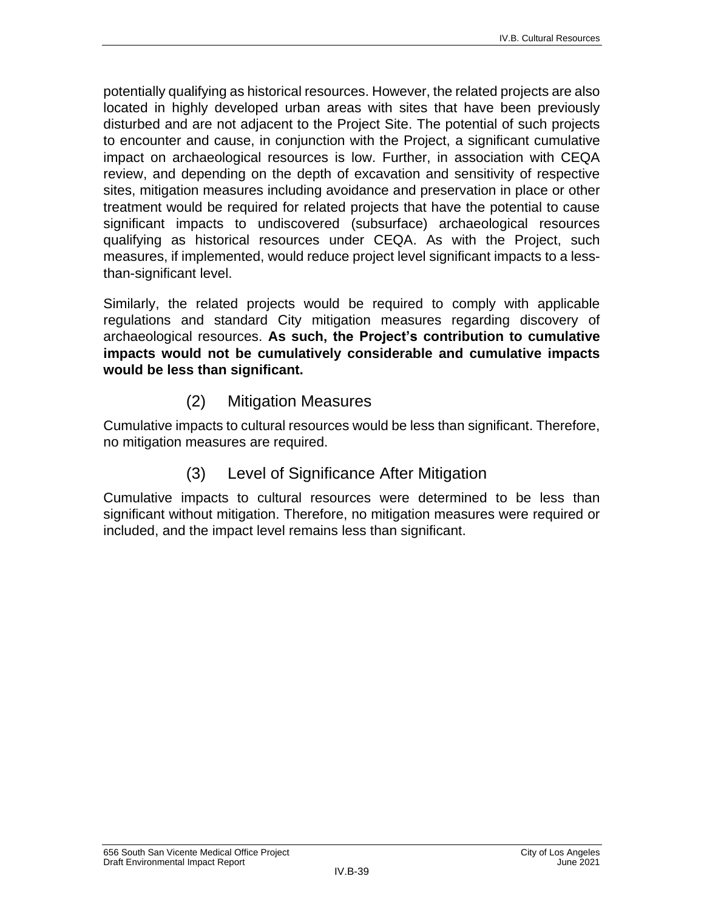potentially qualifying as historical resources. However, the related projects are also located in highly developed urban areas with sites that have been previously disturbed and are not adjacent to the Project Site. The potential of such projects to encounter and cause, in conjunction with the Project, a significant cumulative impact on archaeological resources is low. Further, in association with CEQA review, and depending on the depth of excavation and sensitivity of respective sites, mitigation measures including avoidance and preservation in place or other treatment would be required for related projects that have the potential to cause significant impacts to undiscovered (subsurface) archaeological resources qualifying as historical resources under CEQA. As with the Project, such measures, if implemented, would reduce project level significant impacts to a lessthan-significant level.

Similarly, the related projects would be required to comply with applicable regulations and standard City mitigation measures regarding discovery of archaeological resources. **As such, the Project's contribution to cumulative impacts would not be cumulatively considerable and cumulative impacts would be less than significant.**

(2) Mitigation Measures

Cumulative impacts to cultural resources would be less than significant. Therefore, no mitigation measures are required.

## (3) Level of Significance After Mitigation

Cumulative impacts to cultural resources were determined to be less than significant without mitigation. Therefore, no mitigation measures were required or included, and the impact level remains less than significant.